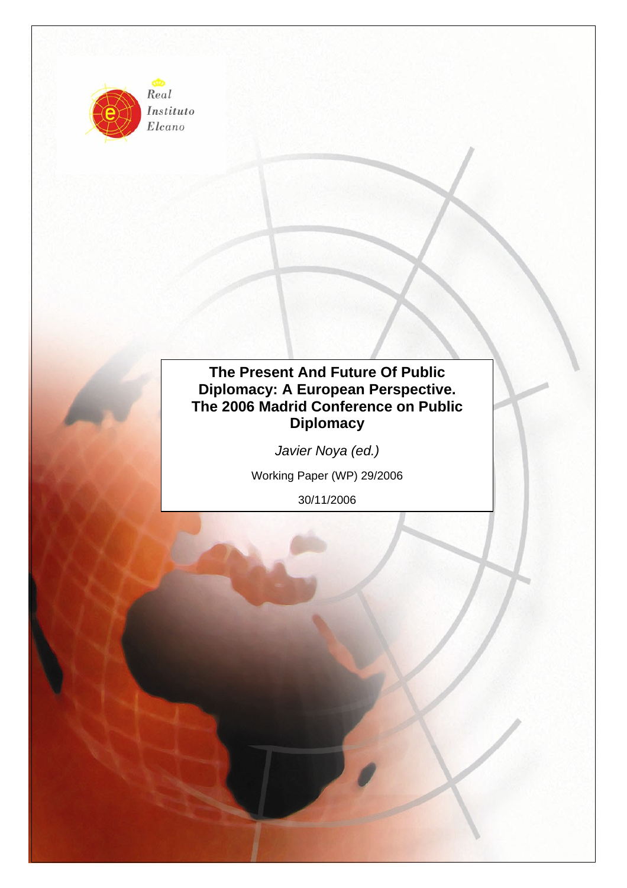

Instituto  $Elcano$ 

# **The Present And Future Of Public Diplomacy: A European Perspective. The 2006 Madrid Conference on Public Diplomacy**

*Javier Noya (ed.)* 

Working Paper (WP) 29/2006

30/11/2006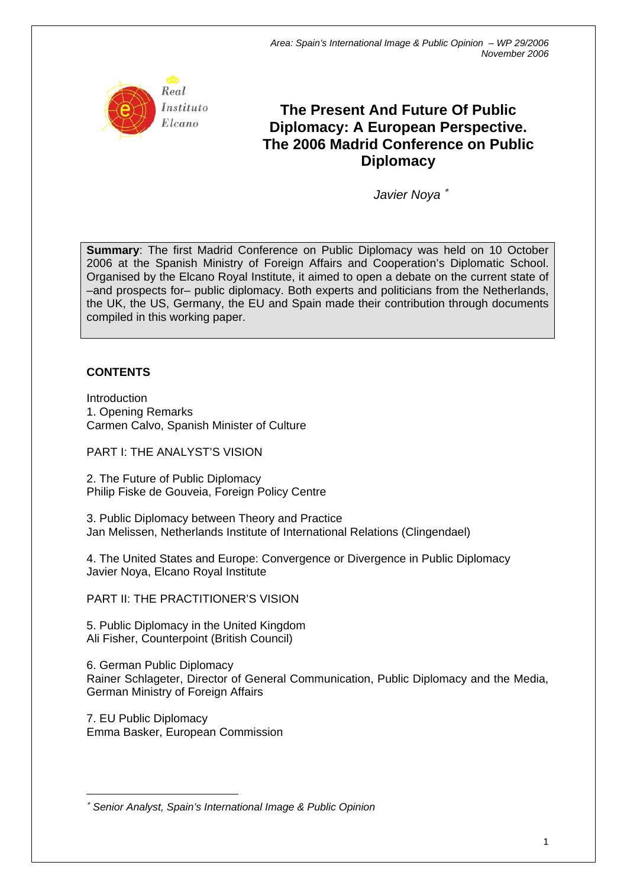

# **The Present And Future Of Public Diplomacy: A European Perspective. The 2006 Madrid Conference on Public Diplomacy**

*Javier Noya* [∗](#page-1-0)

**Summary**: The first Madrid Conference on Public Diplomacy was held on 10 October 2006 at the Spanish Ministry of Foreign Affairs and Cooperation's Diplomatic School. Organised by the Elcano Royal Institute, it aimed to open a debate on the current state of –and prospects for– public diplomacy. Both experts and politicians from the Netherlands, the UK, the US, Germany, the EU and Spain made their contribution through documents compiled in this working paper.

# **CONTENTS**

Introduction 1. Opening Remarks Carmen Calvo, Spanish Minister of Culture

PART I: THE ANALYST'S VISION

2. The Future of Public Diplomacy Philip Fiske de Gouveia, Foreign Policy Centre

3. Public Diplomacy between Theory and Practice Jan Melissen, Netherlands Institute of International Relations (Clingendael)

4. The United States and Europe: Convergence or Divergence in Public Diplomacy Javier Noya, Elcano Royal Institute

PART II: THE PRACTITIONER'S VISION

5. Public Diplomacy in the United Kingdom Ali Fisher, Counterpoint (British Council)

6. German Public Diplomacy Rainer Schlageter, Director of General Communication, Public Diplomacy and the Media, German Ministry of Foreign Affairs

7. EU Public Diplomacy Emma Basker, European Commission

<span id="page-1-0"></span> $\overline{a}$ ∗ *Senior Analyst, Spain's International Image & Public Opinion*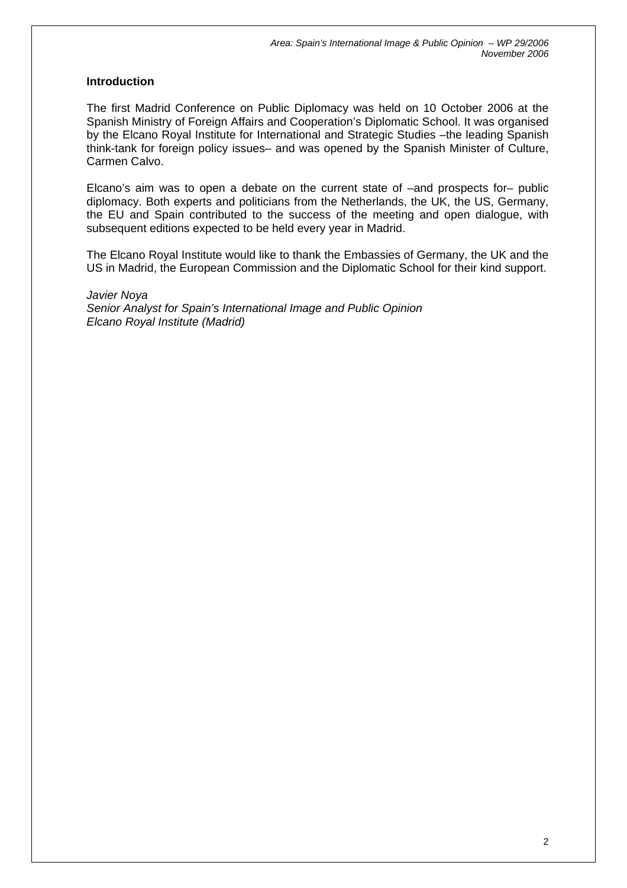## **Introduction**

The first Madrid Conference on Public Diplomacy was held on 10 October 2006 at the Spanish Ministry of Foreign Affairs and Cooperation's Diplomatic School. It was organised by the Elcano Royal Institute for International and Strategic Studies –the leading Spanish think-tank for foreign policy issues– and was opened by the Spanish Minister of Culture, Carmen Calvo.

Elcano's aim was to open a debate on the current state of –and prospects for– public diplomacy. Both experts and politicians from the Netherlands, the UK, the US, Germany, the EU and Spain contributed to the success of the meeting and open dialogue, with subsequent editions expected to be held every year in Madrid.

The Elcano Royal Institute would like to thank the Embassies of Germany, the UK and the US in Madrid, the European Commission and the Diplomatic School for their kind support.

#### *Javier Noya*

*Senior Analyst for Spain's International Image and Public Opinion Elcano Royal Institute (Madrid)*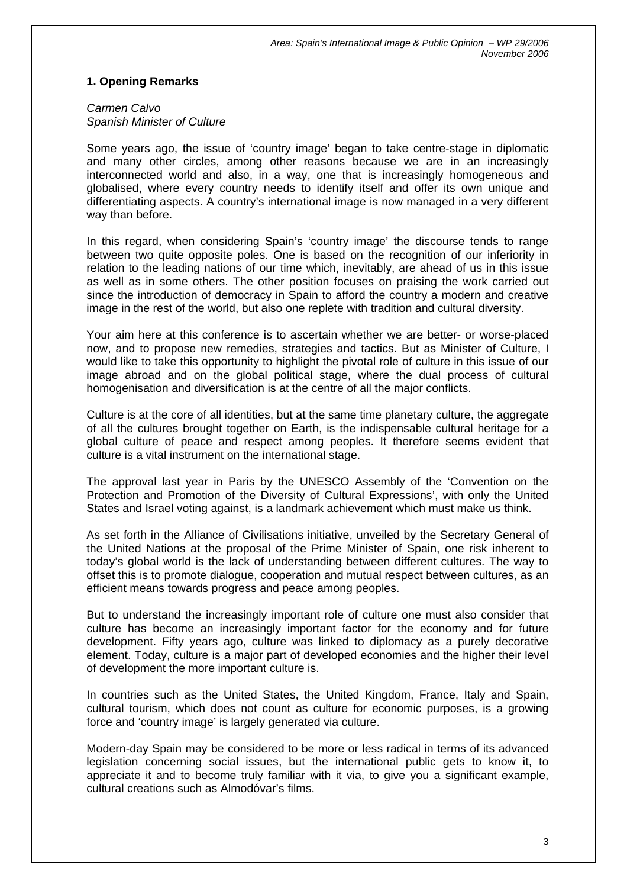## **1. Opening Remarks**

#### *Carmen Calvo Spanish Minister of Culture*

Some years ago, the issue of 'country image' began to take centre-stage in diplomatic and many other circles, among other reasons because we are in an increasingly interconnected world and also, in a way, one that is increasingly homogeneous and globalised, where every country needs to identify itself and offer its own unique and differentiating aspects. A country's international image is now managed in a very different way than before.

In this regard, when considering Spain's 'country image' the discourse tends to range between two quite opposite poles. One is based on the recognition of our inferiority in relation to the leading nations of our time which, inevitably, are ahead of us in this issue as well as in some others. The other position focuses on praising the work carried out since the introduction of democracy in Spain to afford the country a modern and creative image in the rest of the world, but also one replete with tradition and cultural diversity.

Your aim here at this conference is to ascertain whether we are better- or worse-placed now, and to propose new remedies, strategies and tactics. But as Minister of Culture, I would like to take this opportunity to highlight the pivotal role of culture in this issue of our image abroad and on the global political stage, where the dual process of cultural homogenisation and diversification is at the centre of all the major conflicts.

Culture is at the core of all identities, but at the same time planetary culture, the aggregate of all the cultures brought together on Earth, is the indispensable cultural heritage for a global culture of peace and respect among peoples. It therefore seems evident that culture is a vital instrument on the international stage.

The approval last year in Paris by the UNESCO Assembly of the 'Convention on the Protection and Promotion of the Diversity of Cultural Expressions', with only the United States and Israel voting against, is a landmark achievement which must make us think.

As set forth in the Alliance of Civilisations initiative, unveiled by the Secretary General of the United Nations at the proposal of the Prime Minister of Spain, one risk inherent to today's global world is the lack of understanding between different cultures. The way to offset this is to promote dialogue, cooperation and mutual respect between cultures, as an efficient means towards progress and peace among peoples.

But to understand the increasingly important role of culture one must also consider that culture has become an increasingly important factor for the economy and for future development. Fifty years ago, culture was linked to diplomacy as a purely decorative element. Today, culture is a major part of developed economies and the higher their level of development the more important culture is.

In countries such as the United States, the United Kingdom, France, Italy and Spain, cultural tourism, which does not count as culture for economic purposes, is a growing force and 'country image' is largely generated via culture.

Modern-day Spain may be considered to be more or less radical in terms of its advanced legislation concerning social issues, but the international public gets to know it, to appreciate it and to become truly familiar with it via, to give you a significant example, cultural creations such as Almodóvar's films.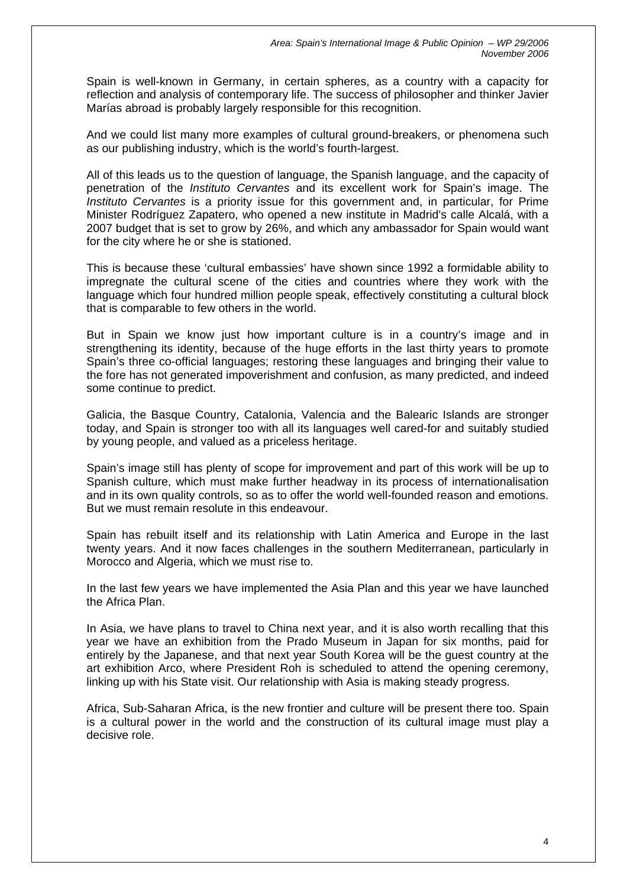Spain is well-known in Germany, in certain spheres, as a country with a capacity for reflection and analysis of contemporary life. The success of philosopher and thinker Javier Marías abroad is probably largely responsible for this recognition.

And we could list many more examples of cultural ground-breakers, or phenomena such as our publishing industry, which is the world's fourth-largest.

All of this leads us to the question of language, the Spanish language, and the capacity of penetration of the *Instituto Cervantes* and its excellent work for Spain's image. The *Instituto Cervantes* is a priority issue for this government and, in particular, for Prime Minister Rodríguez Zapatero, who opened a new institute in Madrid's calle Alcalá, with a 2007 budget that is set to grow by 26%, and which any ambassador for Spain would want for the city where he or she is stationed.

This is because these 'cultural embassies' have shown since 1992 a formidable ability to impregnate the cultural scene of the cities and countries where they work with the language which four hundred million people speak, effectively constituting a cultural block that is comparable to few others in the world.

But in Spain we know just how important culture is in a country's image and in strengthening its identity, because of the huge efforts in the last thirty years to promote Spain's three co-official languages; restoring these languages and bringing their value to the fore has not generated impoverishment and confusion, as many predicted, and indeed some continue to predict.

Galicia, the Basque Country, Catalonia, Valencia and the Balearic Islands are stronger today, and Spain is stronger too with all its languages well cared-for and suitably studied by young people, and valued as a priceless heritage.

Spain's image still has plenty of scope for improvement and part of this work will be up to Spanish culture, which must make further headway in its process of internationalisation and in its own quality controls, so as to offer the world well-founded reason and emotions. But we must remain resolute in this endeavour.

Spain has rebuilt itself and its relationship with Latin America and Europe in the last twenty years. And it now faces challenges in the southern Mediterranean, particularly in Morocco and Algeria, which we must rise to.

In the last few years we have implemented the Asia Plan and this year we have launched the Africa Plan.

In Asia, we have plans to travel to China next year, and it is also worth recalling that this year we have an exhibition from the Prado Museum in Japan for six months, paid for entirely by the Japanese, and that next year South Korea will be the guest country at the art exhibition Arco, where President Roh is scheduled to attend the opening ceremony, linking up with his State visit. Our relationship with Asia is making steady progress.

Africa, Sub-Saharan Africa, is the new frontier and culture will be present there too. Spain is a cultural power in the world and the construction of its cultural image must play a decisive role.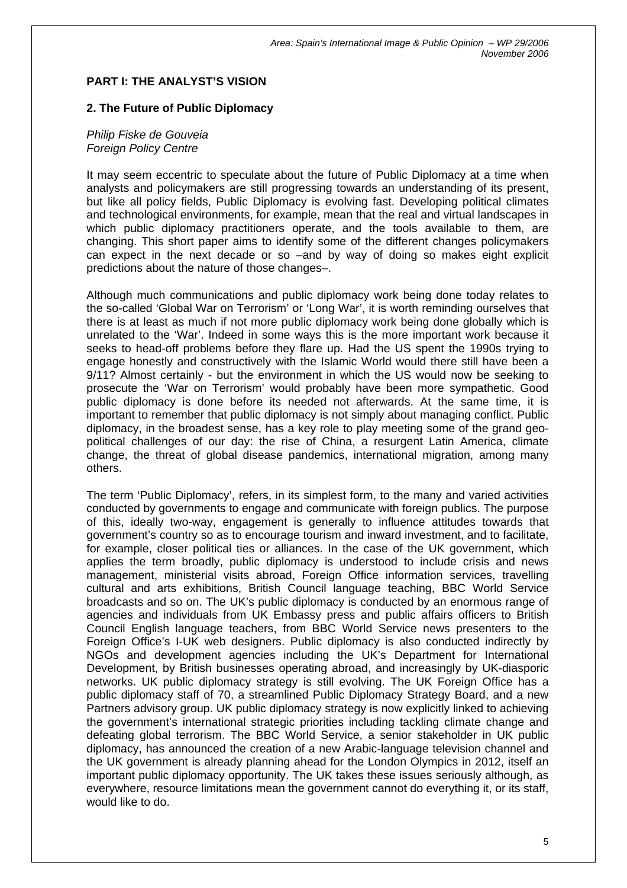## **PART I: THE ANALYST'S VISION**

#### **2. The Future of Public Diplomacy**

#### *Philip Fiske de Gouveia Foreign Policy Centre*

It may seem eccentric to speculate about the future of Public Diplomacy at a time when analysts and policymakers are still progressing towards an understanding of its present, but like all policy fields, Public Diplomacy is evolving fast. Developing political climates and technological environments, for example, mean that the real and virtual landscapes in which public diplomacy practitioners operate, and the tools available to them, are changing. This short paper aims to identify some of the different changes policymakers can expect in the next decade or so –and by way of doing so makes eight explicit predictions about the nature of those changes–.

Although much communications and public diplomacy work being done today relates to the so-called 'Global War on Terrorism' or 'Long War', it is worth reminding ourselves that there is at least as much if not more public diplomacy work being done globally which is unrelated to the 'War'. Indeed in some ways this is the more important work because it seeks to head-off problems before they flare up. Had the US spent the 1990s trying to engage honestly and constructively with the Islamic World would there still have been a 9/11? Almost certainly - but the environment in which the US would now be seeking to prosecute the 'War on Terrorism' would probably have been more sympathetic. Good public diplomacy is done before its needed not afterwards. At the same time, it is important to remember that public diplomacy is not simply about managing conflict. Public diplomacy, in the broadest sense, has a key role to play meeting some of the grand geopolitical challenges of our day: the rise of China, a resurgent Latin America, climate change, the threat of global disease pandemics, international migration, among many others.

The term 'Public Diplomacy', refers, in its simplest form, to the many and varied activities conducted by governments to engage and communicate with foreign publics. The purpose of this, ideally two-way, engagement is generally to influence attitudes towards that government's country so as to encourage tourism and inward investment, and to facilitate, for example, closer political ties or alliances. In the case of the UK government, which applies the term broadly, public diplomacy is understood to include crisis and news management, ministerial visits abroad, Foreign Office information services, travelling cultural and arts exhibitions, British Council language teaching, BBC World Service broadcasts and so on. The UK's public diplomacy is conducted by an enormous range of agencies and individuals from UK Embassy press and public affairs officers to British Council English language teachers, from BBC World Service news presenters to the Foreign Office's I-UK web designers. Public diplomacy is also conducted indirectly by NGOs and development agencies including the UK's Department for International Development, by British businesses operating abroad, and increasingly by UK-diasporic networks. UK public diplomacy strategy is still evolving. The UK Foreign Office has a public diplomacy staff of 70, a streamlined Public Diplomacy Strategy Board, and a new Partners advisory group. UK public diplomacy strategy is now explicitly linked to achieving the government's international strategic priorities including tackling climate change and defeating global terrorism. The BBC World Service, a senior stakeholder in UK public diplomacy, has announced the creation of a new Arabic-language television channel and the UK government is already planning ahead for the London Olympics in 2012, itself an important public diplomacy opportunity. The UK takes these issues seriously although, as everywhere, resource limitations mean the government cannot do everything it, or its staff, would like to do.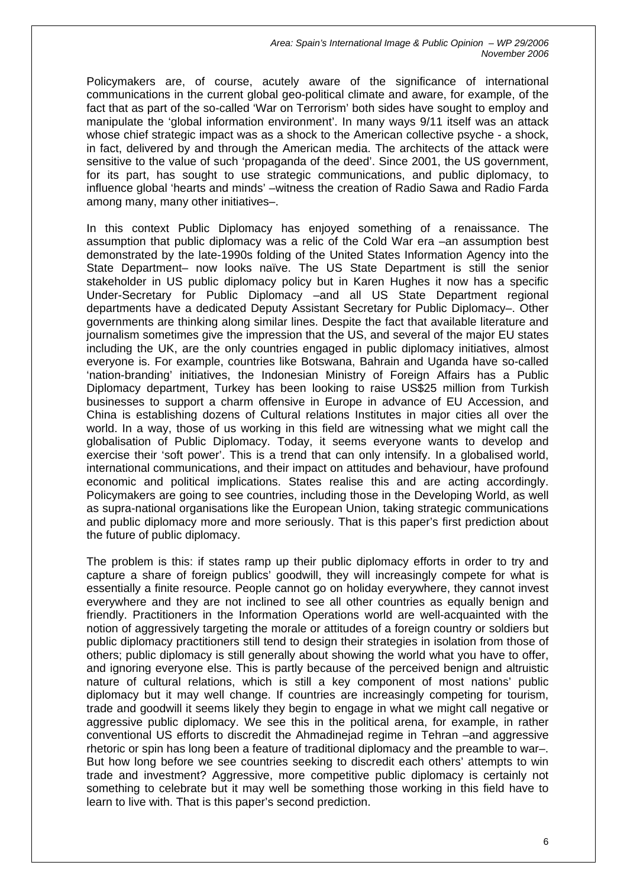Policymakers are, of course, acutely aware of the significance of international communications in the current global geo-political climate and aware, for example, of the fact that as part of the so-called 'War on Terrorism' both sides have sought to employ and manipulate the 'global information environment'. In many ways 9/11 itself was an attack whose chief strategic impact was as a shock to the American collective psyche - a shock, in fact, delivered by and through the American media. The architects of the attack were sensitive to the value of such 'propaganda of the deed'. Since 2001, the US government, for its part, has sought to use strategic communications, and public diplomacy, to influence global 'hearts and minds' –witness the creation of Radio Sawa and Radio Farda among many, many other initiatives–.

In this context Public Diplomacy has enjoyed something of a renaissance. The assumption that public diplomacy was a relic of the Cold War era –an assumption best demonstrated by the late-1990s folding of the United States Information Agency into the State Department– now looks naïve. The US State Department is still the senior stakeholder in US public diplomacy policy but in Karen Hughes it now has a specific Under-Secretary for Public Diplomacy –and all US State Department regional departments have a dedicated Deputy Assistant Secretary for Public Diplomacy–. Other governments are thinking along similar lines. Despite the fact that available literature and journalism sometimes give the impression that the US, and several of the major EU states including the UK, are the only countries engaged in public diplomacy initiatives, almost everyone is. For example, countries like Botswana, Bahrain and Uganda have so-called 'nation-branding' initiatives, the Indonesian Ministry of Foreign Affairs has a Public Diplomacy department, Turkey has been looking to raise US\$25 million from Turkish businesses to support a charm offensive in Europe in advance of EU Accession, and China is establishing dozens of Cultural relations Institutes in major cities all over the world. In a way, those of us working in this field are witnessing what we might call the globalisation of Public Diplomacy. Today, it seems everyone wants to develop and exercise their 'soft power'. This is a trend that can only intensify. In a globalised world, international communications, and their impact on attitudes and behaviour, have profound economic and political implications. States realise this and are acting accordingly. Policymakers are going to see countries, including those in the Developing World, as well as supra-national organisations like the European Union, taking strategic communications and public diplomacy more and more seriously. That is this paper's first prediction about the future of public diplomacy.

The problem is this: if states ramp up their public diplomacy efforts in order to try and capture a share of foreign publics' goodwill, they will increasingly compete for what is essentially a finite resource. People cannot go on holiday everywhere, they cannot invest everywhere and they are not inclined to see all other countries as equally benign and friendly. Practitioners in the Information Operations world are well-acquainted with the notion of aggressively targeting the morale or attitudes of a foreign country or soldiers but public diplomacy practitioners still tend to design their strategies in isolation from those of others; public diplomacy is still generally about showing the world what you have to offer, and ignoring everyone else. This is partly because of the perceived benign and altruistic nature of cultural relations, which is still a key component of most nations' public diplomacy but it may well change. If countries are increasingly competing for tourism, trade and goodwill it seems likely they begin to engage in what we might call negative or aggressive public diplomacy. We see this in the political arena, for example, in rather conventional US efforts to discredit the Ahmadinejad regime in Tehran –and aggressive rhetoric or spin has long been a feature of traditional diplomacy and the preamble to war–. But how long before we see countries seeking to discredit each others' attempts to win trade and investment? Aggressive, more competitive public diplomacy is certainly not something to celebrate but it may well be something those working in this field have to learn to live with. That is this paper's second prediction.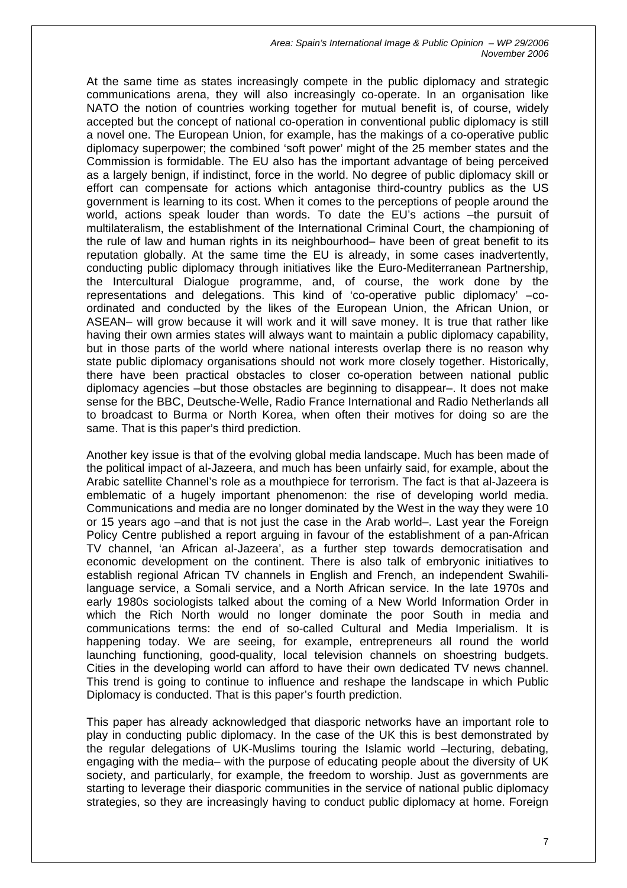At the same time as states increasingly compete in the public diplomacy and strategic communications arena, they will also increasingly co-operate. In an organisation like NATO the notion of countries working together for mutual benefit is, of course, widely accepted but the concept of national co-operation in conventional public diplomacy is still a novel one. The European Union, for example, has the makings of a co-operative public diplomacy superpower; the combined 'soft power' might of the 25 member states and the Commission is formidable. The EU also has the important advantage of being perceived as a largely benign, if indistinct, force in the world. No degree of public diplomacy skill or effort can compensate for actions which antagonise third-country publics as the US government is learning to its cost. When it comes to the perceptions of people around the world, actions speak louder than words. To date the EU's actions –the pursuit of multilateralism, the establishment of the International Criminal Court, the championing of the rule of law and human rights in its neighbourhood– have been of great benefit to its reputation globally. At the same time the EU is already, in some cases inadvertently, conducting public diplomacy through initiatives like the Euro-Mediterranean Partnership, the Intercultural Dialogue programme, and, of course, the work done by the representations and delegations. This kind of 'co-operative public diplomacy' –coordinated and conducted by the likes of the European Union, the African Union, or ASEAN– will grow because it will work and it will save money. It is true that rather like having their own armies states will always want to maintain a public diplomacy capability, but in those parts of the world where national interests overlap there is no reason why state public diplomacy organisations should not work more closely together. Historically, there have been practical obstacles to closer co-operation between national public diplomacy agencies –but those obstacles are beginning to disappear–. It does not make sense for the BBC, Deutsche-Welle, Radio France International and Radio Netherlands all to broadcast to Burma or North Korea, when often their motives for doing so are the same. That is this paper's third prediction.

Another key issue is that of the evolving global media landscape. Much has been made of the political impact of al-Jazeera, and much has been unfairly said, for example, about the Arabic satellite Channel's role as a mouthpiece for terrorism. The fact is that al-Jazeera is emblematic of a hugely important phenomenon: the rise of developing world media. Communications and media are no longer dominated by the West in the way they were 10 or 15 years ago –and that is not just the case in the Arab world–. Last year the Foreign Policy Centre published a report arguing in favour of the establishment of a pan-African TV channel, 'an African al-Jazeera', as a further step towards democratisation and economic development on the continent. There is also talk of embryonic initiatives to establish regional African TV channels in English and French, an independent Swahililanguage service, a Somali service, and a North African service. In the late 1970s and early 1980s sociologists talked about the coming of a New World Information Order in which the Rich North would no longer dominate the poor South in media and communications terms: the end of so-called Cultural and Media Imperialism. It is happening today. We are seeing, for example, entrepreneurs all round the world launching functioning, good-quality, local television channels on shoestring budgets. Cities in the developing world can afford to have their own dedicated TV news channel. This trend is going to continue to influence and reshape the landscape in which Public Diplomacy is conducted. That is this paper's fourth prediction.

This paper has already acknowledged that diasporic networks have an important role to play in conducting public diplomacy. In the case of the UK this is best demonstrated by the regular delegations of UK-Muslims touring the Islamic world –lecturing, debating, engaging with the media– with the purpose of educating people about the diversity of UK society, and particularly, for example, the freedom to worship. Just as governments are starting to leverage their diasporic communities in the service of national public diplomacy strategies, so they are increasingly having to conduct public diplomacy at home. Foreign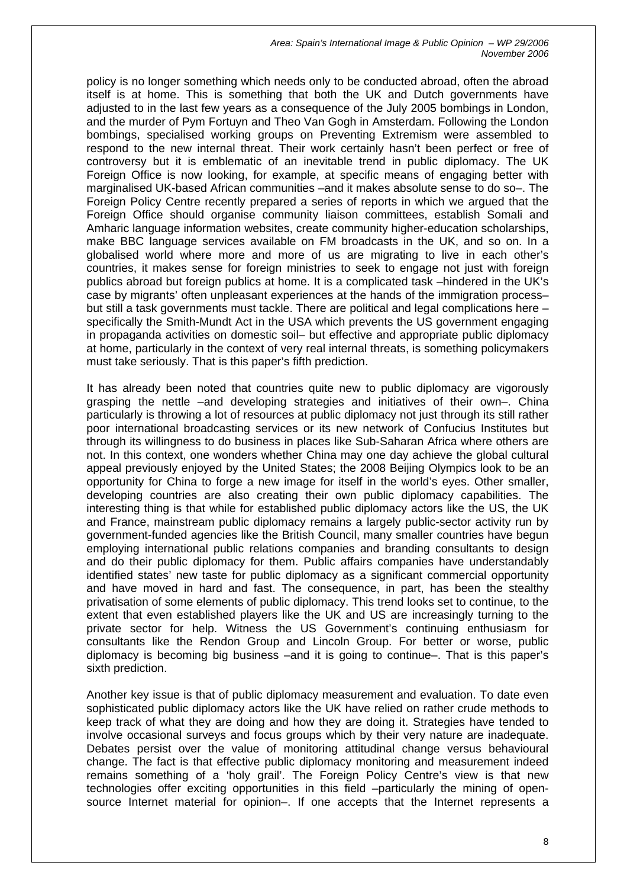policy is no longer something which needs only to be conducted abroad, often the abroad itself is at home. This is something that both the UK and Dutch governments have adjusted to in the last few years as a consequence of the July 2005 bombings in London, and the murder of Pym Fortuyn and Theo Van Gogh in Amsterdam. Following the London bombings, specialised working groups on Preventing Extremism were assembled to respond to the new internal threat. Their work certainly hasn't been perfect or free of controversy but it is emblematic of an inevitable trend in public diplomacy. The UK Foreign Office is now looking, for example, at specific means of engaging better with marginalised UK-based African communities –and it makes absolute sense to do so–. The Foreign Policy Centre recently prepared a series of reports in which we argued that the Foreign Office should organise community liaison committees, establish Somali and Amharic language information websites, create community higher-education scholarships, make BBC language services available on FM broadcasts in the UK, and so on. In a globalised world where more and more of us are migrating to live in each other's countries, it makes sense for foreign ministries to seek to engage not just with foreign publics abroad but foreign publics at home. It is a complicated task –hindered in the UK's case by migrants' often unpleasant experiences at the hands of the immigration process– but still a task governments must tackle. There are political and legal complications here – specifically the Smith-Mundt Act in the USA which prevents the US government engaging in propaganda activities on domestic soil– but effective and appropriate public diplomacy at home, particularly in the context of very real internal threats, is something policymakers must take seriously. That is this paper's fifth prediction.

It has already been noted that countries quite new to public diplomacy are vigorously grasping the nettle –and developing strategies and initiatives of their own–. China particularly is throwing a lot of resources at public diplomacy not just through its still rather poor international broadcasting services or its new network of Confucius Institutes but through its willingness to do business in places like Sub-Saharan Africa where others are not. In this context, one wonders whether China may one day achieve the global cultural appeal previously enjoyed by the United States; the 2008 Beijing Olympics look to be an opportunity for China to forge a new image for itself in the world's eyes. Other smaller, developing countries are also creating their own public diplomacy capabilities. The interesting thing is that while for established public diplomacy actors like the US, the UK and France, mainstream public diplomacy remains a largely public-sector activity run by government-funded agencies like the British Council, many smaller countries have begun employing international public relations companies and branding consultants to design and do their public diplomacy for them. Public affairs companies have understandably identified states' new taste for public diplomacy as a significant commercial opportunity and have moved in hard and fast. The consequence, in part, has been the stealthy privatisation of some elements of public diplomacy. This trend looks set to continue, to the extent that even established players like the UK and US are increasingly turning to the private sector for help. Witness the US Government's continuing enthusiasm for consultants like the Rendon Group and Lincoln Group. For better or worse, public diplomacy is becoming big business –and it is going to continue–. That is this paper's sixth prediction.

Another key issue is that of public diplomacy measurement and evaluation. To date even sophisticated public diplomacy actors like the UK have relied on rather crude methods to keep track of what they are doing and how they are doing it. Strategies have tended to involve occasional surveys and focus groups which by their very nature are inadequate. Debates persist over the value of monitoring attitudinal change versus behavioural change. The fact is that effective public diplomacy monitoring and measurement indeed remains something of a 'holy grail'. The Foreign Policy Centre's view is that new technologies offer exciting opportunities in this field –particularly the mining of opensource Internet material for opinion–. If one accepts that the Internet represents a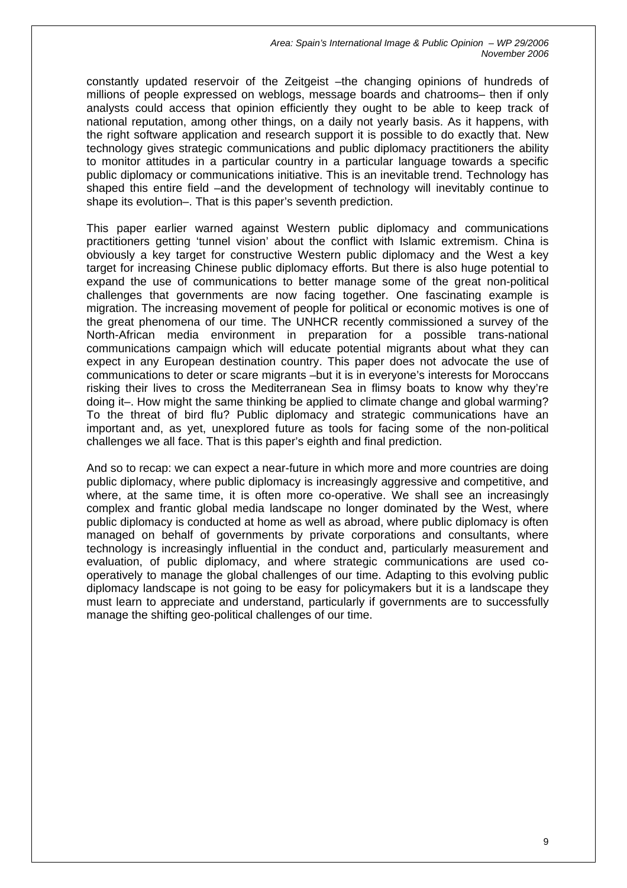constantly updated reservoir of the Zeitgeist –the changing opinions of hundreds of millions of people expressed on weblogs, message boards and chatrooms– then if only analysts could access that opinion efficiently they ought to be able to keep track of national reputation, among other things, on a daily not yearly basis. As it happens, with the right software application and research support it is possible to do exactly that. New technology gives strategic communications and public diplomacy practitioners the ability to monitor attitudes in a particular country in a particular language towards a specific public diplomacy or communications initiative. This is an inevitable trend. Technology has shaped this entire field –and the development of technology will inevitably continue to shape its evolution–. That is this paper's seventh prediction.

This paper earlier warned against Western public diplomacy and communications practitioners getting 'tunnel vision' about the conflict with Islamic extremism. China is obviously a key target for constructive Western public diplomacy and the West a key target for increasing Chinese public diplomacy efforts. But there is also huge potential to expand the use of communications to better manage some of the great non-political challenges that governments are now facing together. One fascinating example is migration. The increasing movement of people for political or economic motives is one of the great phenomena of our time. The UNHCR recently commissioned a survey of the North-African media environment in preparation for a possible trans-national communications campaign which will educate potential migrants about what they can expect in any European destination country. This paper does not advocate the use of communications to deter or scare migrants –but it is in everyone's interests for Moroccans risking their lives to cross the Mediterranean Sea in flimsy boats to know why they're doing it–. How might the same thinking be applied to climate change and global warming? To the threat of bird flu? Public diplomacy and strategic communications have an important and, as yet, unexplored future as tools for facing some of the non-political challenges we all face. That is this paper's eighth and final prediction.

And so to recap: we can expect a near-future in which more and more countries are doing public diplomacy, where public diplomacy is increasingly aggressive and competitive, and where, at the same time, it is often more co-operative. We shall see an increasingly complex and frantic global media landscape no longer dominated by the West, where public diplomacy is conducted at home as well as abroad, where public diplomacy is often managed on behalf of governments by private corporations and consultants, where technology is increasingly influential in the conduct and, particularly measurement and evaluation, of public diplomacy, and where strategic communications are used cooperatively to manage the global challenges of our time. Adapting to this evolving public diplomacy landscape is not going to be easy for policymakers but it is a landscape they must learn to appreciate and understand, particularly if governments are to successfully manage the shifting geo-political challenges of our time.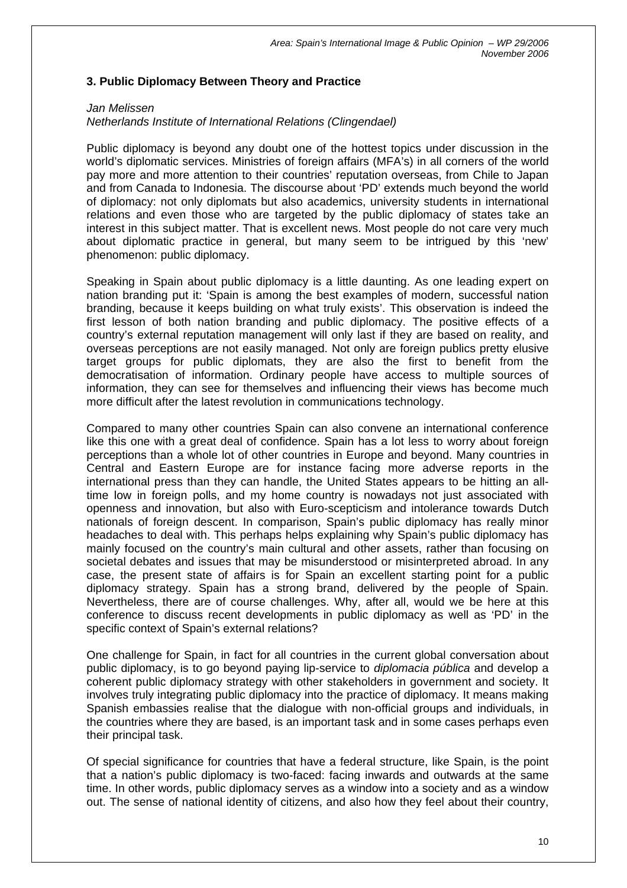## **3. Public Diplomacy Between Theory and Practice**

## *Jan Melissen Netherlands Institute of International Relations (Clingendael)*

Public diplomacy is beyond any doubt one of the hottest topics under discussion in the world's diplomatic services. Ministries of foreign affairs (MFA's) in all corners of the world pay more and more attention to their countries' reputation overseas, from Chile to Japan and from Canada to Indonesia. The discourse about 'PD' extends much beyond the world of diplomacy: not only diplomats but also academics, university students in international relations and even those who are targeted by the public diplomacy of states take an interest in this subject matter. That is excellent news. Most people do not care very much about diplomatic practice in general, but many seem to be intrigued by this 'new' phenomenon: public diplomacy.

Speaking in Spain about public diplomacy is a little daunting. As one leading expert on nation branding put it: 'Spain is among the best examples of modern, successful nation branding, because it keeps building on what truly exists'. This observation is indeed the first lesson of both nation branding and public diplomacy. The positive effects of a country's external reputation management will only last if they are based on reality, and overseas perceptions are not easily managed. Not only are foreign publics pretty elusive target groups for public diplomats, they are also the first to benefit from the democratisation of information. Ordinary people have access to multiple sources of information, they can see for themselves and influencing their views has become much more difficult after the latest revolution in communications technology.

Compared to many other countries Spain can also convene an international conference like this one with a great deal of confidence. Spain has a lot less to worry about foreign perceptions than a whole lot of other countries in Europe and beyond. Many countries in Central and Eastern Europe are for instance facing more adverse reports in the international press than they can handle, the United States appears to be hitting an alltime low in foreign polls, and my home country is nowadays not just associated with openness and innovation, but also with Euro-scepticism and intolerance towards Dutch nationals of foreign descent. In comparison, Spain's public diplomacy has really minor headaches to deal with. This perhaps helps explaining why Spain's public diplomacy has mainly focused on the country's main cultural and other assets, rather than focusing on societal debates and issues that may be misunderstood or misinterpreted abroad. In any case, the present state of affairs is for Spain an excellent starting point for a public diplomacy strategy. Spain has a strong brand, delivered by the people of Spain. Nevertheless, there are of course challenges. Why, after all, would we be here at this conference to discuss recent developments in public diplomacy as well as 'PD' in the specific context of Spain's external relations?

One challenge for Spain, in fact for all countries in the current global conversation about public diplomacy, is to go beyond paying lip-service to *diplomacia pública* and develop a coherent public diplomacy strategy with other stakeholders in government and society. It involves truly integrating public diplomacy into the practice of diplomacy. It means making Spanish embassies realise that the dialogue with non-official groups and individuals, in the countries where they are based, is an important task and in some cases perhaps even their principal task.

Of special significance for countries that have a federal structure, like Spain, is the point that a nation's public diplomacy is two-faced: facing inwards and outwards at the same time. In other words, public diplomacy serves as a window into a society and as a window out. The sense of national identity of citizens, and also how they feel about their country,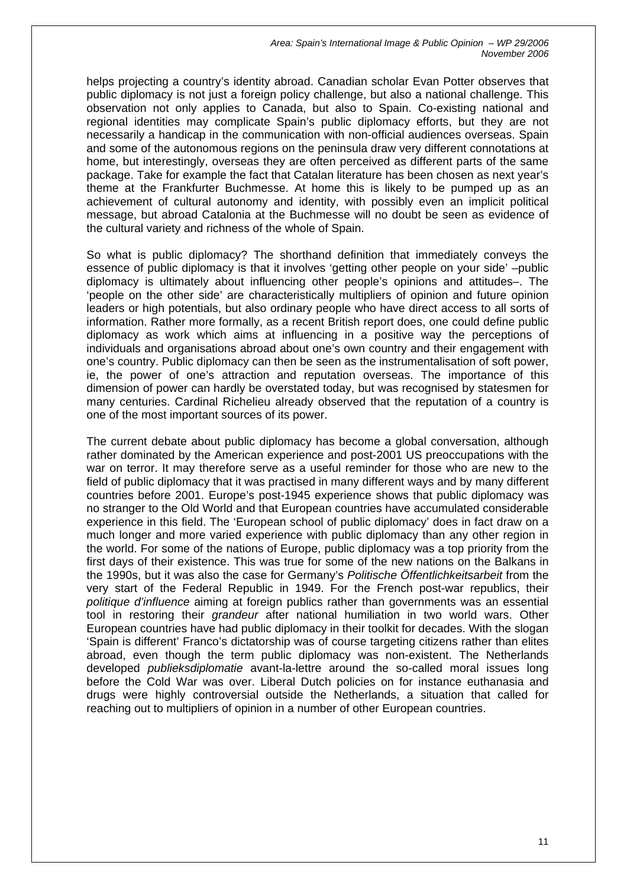helps projecting a country's identity abroad. Canadian scholar Evan Potter observes that public diplomacy is not just a foreign policy challenge, but also a national challenge. This observation not only applies to Canada, but also to Spain. Co-existing national and regional identities may complicate Spain's public diplomacy efforts, but they are not necessarily a handicap in the communication with non-official audiences overseas. Spain and some of the autonomous regions on the peninsula draw very different connotations at home, but interestingly, overseas they are often perceived as different parts of the same package. Take for example the fact that Catalan literature has been chosen as next year's theme at the Frankfurter Buchmesse. At home this is likely to be pumped up as an achievement of cultural autonomy and identity, with possibly even an implicit political message, but abroad Catalonia at the Buchmesse will no doubt be seen as evidence of the cultural variety and richness of the whole of Spain.

So what is public diplomacy? The shorthand definition that immediately conveys the essence of public diplomacy is that it involves 'getting other people on your side' –public diplomacy is ultimately about influencing other people's opinions and attitudes–. The 'people on the other side' are characteristically multipliers of opinion and future opinion leaders or high potentials, but also ordinary people who have direct access to all sorts of information. Rather more formally, as a recent British report does, one could define public diplomacy as work which aims at influencing in a positive way the perceptions of individuals and organisations abroad about one's own country and their engagement with one's country. Public diplomacy can then be seen as the instrumentalisation of soft power, ie, the power of one's attraction and reputation overseas. The importance of this dimension of power can hardly be overstated today, but was recognised by statesmen for many centuries. Cardinal Richelieu already observed that the reputation of a country is one of the most important sources of its power.

The current debate about public diplomacy has become a global conversation, although rather dominated by the American experience and post-2001 US preoccupations with the war on terror. It may therefore serve as a useful reminder for those who are new to the field of public diplomacy that it was practised in many different ways and by many different countries before 2001. Europe's post-1945 experience shows that public diplomacy was no stranger to the Old World and that European countries have accumulated considerable experience in this field. The 'European school of public diplomacy' does in fact draw on a much longer and more varied experience with public diplomacy than any other region in the world. For some of the nations of Europe, public diplomacy was a top priority from the first days of their existence. This was true for some of the new nations on the Balkans in the 1990s, but it was also the case for Germany's *Politische Öffentlichkeitsarbeit* from the very start of the Federal Republic in 1949. For the French post-war republics, their *politique d'influence* aiming at foreign publics rather than governments was an essential tool in restoring their *grandeur* after national humiliation in two world wars. Other European countries have had public diplomacy in their toolkit for decades. With the slogan 'Spain is different' Franco's dictatorship was of course targeting citizens rather than elites abroad, even though the term public diplomacy was non-existent. The Netherlands developed *publieksdiplomatie* avant-la-lettre around the so-called moral issues long before the Cold War was over. Liberal Dutch policies on for instance euthanasia and drugs were highly controversial outside the Netherlands, a situation that called for reaching out to multipliers of opinion in a number of other European countries.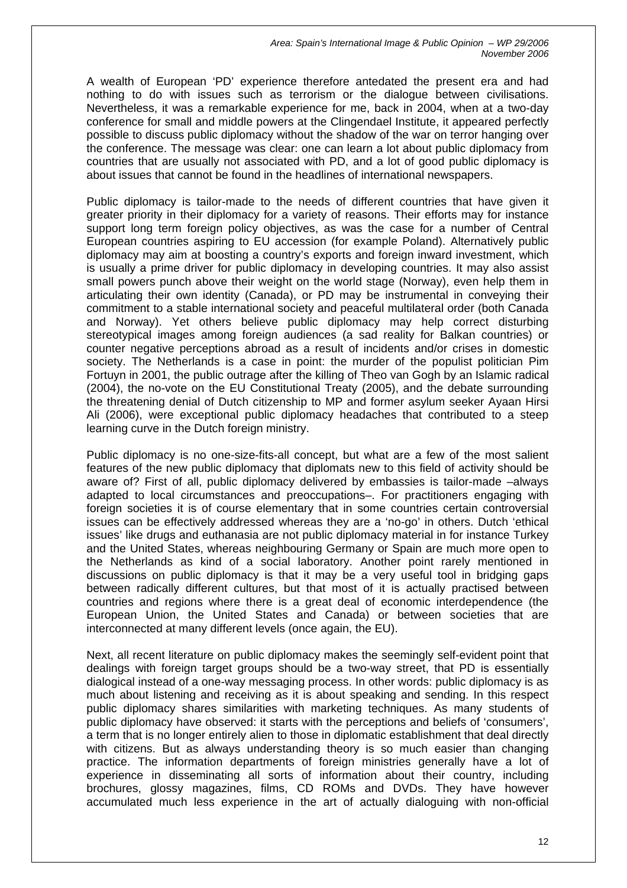A wealth of European 'PD' experience therefore antedated the present era and had nothing to do with issues such as terrorism or the dialogue between civilisations. Nevertheless, it was a remarkable experience for me, back in 2004, when at a two-day conference for small and middle powers at the Clingendael Institute, it appeared perfectly possible to discuss public diplomacy without the shadow of the war on terror hanging over the conference. The message was clear: one can learn a lot about public diplomacy from countries that are usually not associated with PD, and a lot of good public diplomacy is about issues that cannot be found in the headlines of international newspapers.

Public diplomacy is tailor-made to the needs of different countries that have given it greater priority in their diplomacy for a variety of reasons. Their efforts may for instance support long term foreign policy objectives, as was the case for a number of Central European countries aspiring to EU accession (for example Poland). Alternatively public diplomacy may aim at boosting a country's exports and foreign inward investment, which is usually a prime driver for public diplomacy in developing countries. It may also assist small powers punch above their weight on the world stage (Norway), even help them in articulating their own identity (Canada), or PD may be instrumental in conveying their commitment to a stable international society and peaceful multilateral order (both Canada and Norway). Yet others believe public diplomacy may help correct disturbing stereotypical images among foreign audiences (a sad reality for Balkan countries) or counter negative perceptions abroad as a result of incidents and/or crises in domestic society. The Netherlands is a case in point: the murder of the populist politician Pim Fortuyn in 2001, the public outrage after the killing of Theo van Gogh by an Islamic radical (2004), the no-vote on the EU Constitutional Treaty (2005), and the debate surrounding the threatening denial of Dutch citizenship to MP and former asylum seeker Ayaan Hirsi Ali (2006), were exceptional public diplomacy headaches that contributed to a steep learning curve in the Dutch foreign ministry.

Public diplomacy is no one-size-fits-all concept, but what are a few of the most salient features of the new public diplomacy that diplomats new to this field of activity should be aware of? First of all, public diplomacy delivered by embassies is tailor-made –always adapted to local circumstances and preoccupations–. For practitioners engaging with foreign societies it is of course elementary that in some countries certain controversial issues can be effectively addressed whereas they are a 'no-go' in others. Dutch 'ethical issues' like drugs and euthanasia are not public diplomacy material in for instance Turkey and the United States, whereas neighbouring Germany or Spain are much more open to the Netherlands as kind of a social laboratory. Another point rarely mentioned in discussions on public diplomacy is that it may be a very useful tool in bridging gaps between radically different cultures, but that most of it is actually practised between countries and regions where there is a great deal of economic interdependence (the European Union, the United States and Canada) or between societies that are interconnected at many different levels (once again, the EU).

Next, all recent literature on public diplomacy makes the seemingly self-evident point that dealings with foreign target groups should be a two-way street, that PD is essentially dialogical instead of a one-way messaging process. In other words: public diplomacy is as much about listening and receiving as it is about speaking and sending. In this respect public diplomacy shares similarities with marketing techniques. As many students of public diplomacy have observed: it starts with the perceptions and beliefs of 'consumers', a term that is no longer entirely alien to those in diplomatic establishment that deal directly with citizens. But as always understanding theory is so much easier than changing practice. The information departments of foreign ministries generally have a lot of experience in disseminating all sorts of information about their country, including brochures, glossy magazines, films, CD ROMs and DVDs. They have however accumulated much less experience in the art of actually dialoguing with non-official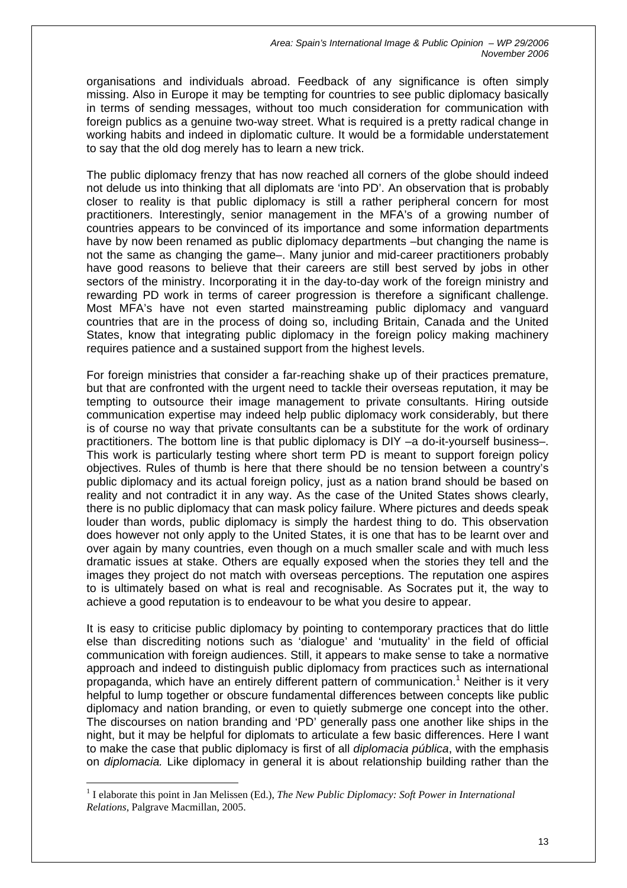organisations and individuals abroad. Feedback of any significance is often simply missing. Also in Europe it may be tempting for countries to see public diplomacy basically in terms of sending messages, without too much consideration for communication with foreign publics as a genuine two-way street. What is required is a pretty radical change in working habits and indeed in diplomatic culture. It would be a formidable understatement to say that the old dog merely has to learn a new trick.

The public diplomacy frenzy that has now reached all corners of the globe should indeed not delude us into thinking that all diplomats are 'into PD'. An observation that is probably closer to reality is that public diplomacy is still a rather peripheral concern for most practitioners. Interestingly, senior management in the MFA's of a growing number of countries appears to be convinced of its importance and some information departments have by now been renamed as public diplomacy departments –but changing the name is not the same as changing the game–. Many junior and mid-career practitioners probably have good reasons to believe that their careers are still best served by jobs in other sectors of the ministry. Incorporating it in the day-to-day work of the foreign ministry and rewarding PD work in terms of career progression is therefore a significant challenge. Most MFA's have not even started mainstreaming public diplomacy and vanguard countries that are in the process of doing so, including Britain, Canada and the United States, know that integrating public diplomacy in the foreign policy making machinery requires patience and a sustained support from the highest levels.

For foreign ministries that consider a far-reaching shake up of their practices premature, but that are confronted with the urgent need to tackle their overseas reputation, it may be tempting to outsource their image management to private consultants. Hiring outside communication expertise may indeed help public diplomacy work considerably, but there is of course no way that private consultants can be a substitute for the work of ordinary practitioners. The bottom line is that public diplomacy is DIY –a do-it-yourself business–. This work is particularly testing where short term PD is meant to support foreign policy objectives. Rules of thumb is here that there should be no tension between a country's public diplomacy and its actual foreign policy, just as a nation brand should be based on reality and not contradict it in any way. As the case of the United States shows clearly, there is no public diplomacy that can mask policy failure. Where pictures and deeds speak louder than words, public diplomacy is simply the hardest thing to do. This observation does however not only apply to the United States, it is one that has to be learnt over and over again by many countries, even though on a much smaller scale and with much less dramatic issues at stake. Others are equally exposed when the stories they tell and the images they project do not match with overseas perceptions. The reputation one aspires to is ultimately based on what is real and recognisable. As Socrates put it, the way to achieve a good reputation is to endeavour to be what you desire to appear.

It is easy to criticise public diplomacy by pointing to contemporary practices that do little else than discrediting notions such as 'dialogue' and 'mutuality' in the field of official communication with foreign audiences. Still, it appears to make sense to take a normative approach and indeed to distinguish public diplomacy from practices such as international propaganda, which have an entirely different pattern of communication.<sup>[1](#page-13-0)</sup> Neither is it very helpful to lump together or obscure fundamental differences between concepts like public diplomacy and nation branding, or even to quietly submerge one concept into the other. The discourses on nation branding and 'PD' generally pass one another like ships in the night, but it may be helpful for diplomats to articulate a few basic differences. Here I want to make the case that public diplomacy is first of all *diplomacia pública*, with the emphasis on *diplomacia.* Like diplomacy in general it is about relationship building rather than the

<span id="page-13-0"></span><sup>&</sup>lt;sup>1</sup> I elaborate this point in Jan Melissen (Ed.), *The New Public Diplomacy: Soft Power in International Relations*, Palgrave Macmillan, 2005.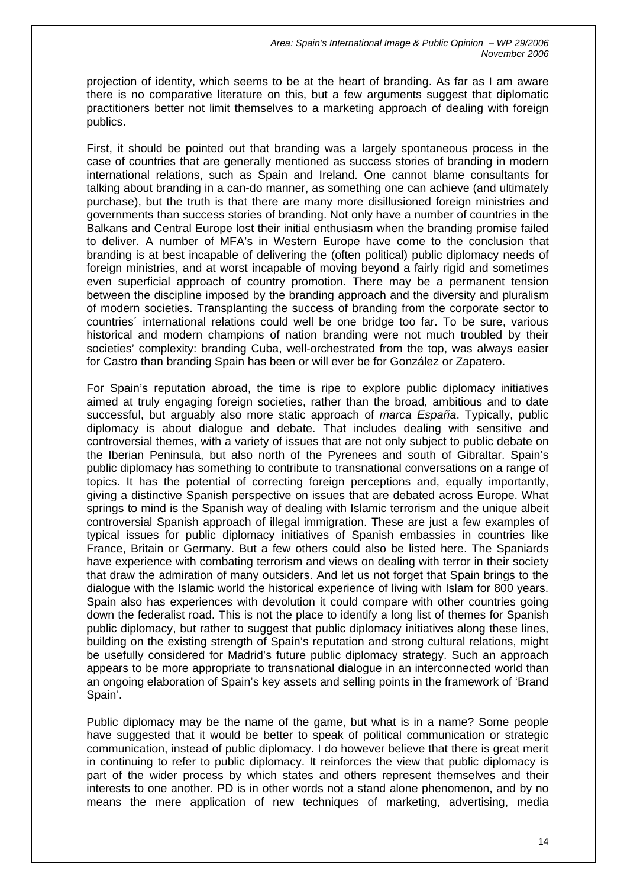projection of identity, which seems to be at the heart of branding. As far as I am aware there is no comparative literature on this, but a few arguments suggest that diplomatic practitioners better not limit themselves to a marketing approach of dealing with foreign publics.

First, it should be pointed out that branding was a largely spontaneous process in the case of countries that are generally mentioned as success stories of branding in modern international relations, such as Spain and Ireland. One cannot blame consultants for talking about branding in a can-do manner, as something one can achieve (and ultimately purchase), but the truth is that there are many more disillusioned foreign ministries and governments than success stories of branding. Not only have a number of countries in the Balkans and Central Europe lost their initial enthusiasm when the branding promise failed to deliver. A number of MFA's in Western Europe have come to the conclusion that branding is at best incapable of delivering the (often political) public diplomacy needs of foreign ministries, and at worst incapable of moving beyond a fairly rigid and sometimes even superficial approach of country promotion. There may be a permanent tension between the discipline imposed by the branding approach and the diversity and pluralism of modern societies. Transplanting the success of branding from the corporate sector to countries´ international relations could well be one bridge too far. To be sure, various historical and modern champions of nation branding were not much troubled by their societies' complexity: branding Cuba, well-orchestrated from the top, was always easier for Castro than branding Spain has been or will ever be for González or Zapatero.

For Spain's reputation abroad, the time is ripe to explore public diplomacy initiatives aimed at truly engaging foreign societies, rather than the broad, ambitious and to date successful, but arguably also more static approach of *marca España*. Typically, public diplomacy is about dialogue and debate. That includes dealing with sensitive and controversial themes, with a variety of issues that are not only subject to public debate on the Iberian Peninsula, but also north of the Pyrenees and south of Gibraltar. Spain's public diplomacy has something to contribute to transnational conversations on a range of topics. It has the potential of correcting foreign perceptions and, equally importantly, giving a distinctive Spanish perspective on issues that are debated across Europe. What springs to mind is the Spanish way of dealing with Islamic terrorism and the unique albeit controversial Spanish approach of illegal immigration. These are just a few examples of typical issues for public diplomacy initiatives of Spanish embassies in countries like France, Britain or Germany. But a few others could also be listed here. The Spaniards have experience with combating terrorism and views on dealing with terror in their society that draw the admiration of many outsiders. And let us not forget that Spain brings to the dialogue with the Islamic world the historical experience of living with Islam for 800 years. Spain also has experiences with devolution it could compare with other countries going down the federalist road. This is not the place to identify a long list of themes for Spanish public diplomacy, but rather to suggest that public diplomacy initiatives along these lines, building on the existing strength of Spain's reputation and strong cultural relations, might be usefully considered for Madrid's future public diplomacy strategy. Such an approach appears to be more appropriate to transnational dialogue in an interconnected world than an ongoing elaboration of Spain's key assets and selling points in the framework of 'Brand Spain'.

Public diplomacy may be the name of the game, but what is in a name? Some people have suggested that it would be better to speak of political communication or strategic communication, instead of public diplomacy. I do however believe that there is great merit in continuing to refer to public diplomacy. It reinforces the view that public diplomacy is part of the wider process by which states and others represent themselves and their interests to one another. PD is in other words not a stand alone phenomenon, and by no means the mere application of new techniques of marketing, advertising, media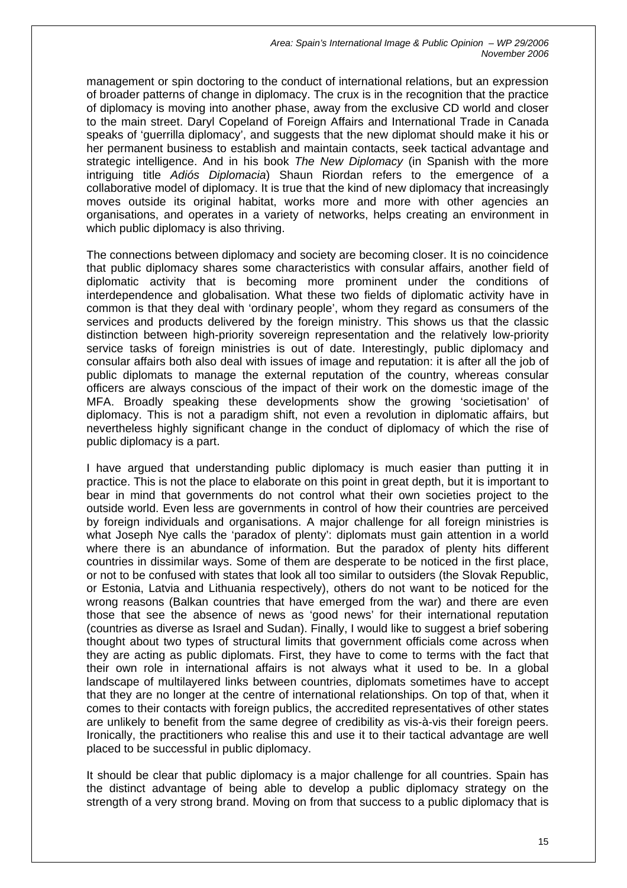management or spin doctoring to the conduct of international relations, but an expression of broader patterns of change in diplomacy. The crux is in the recognition that the practice of diplomacy is moving into another phase, away from the exclusive CD world and closer to the main street. Daryl Copeland of Foreign Affairs and International Trade in Canada speaks of 'guerrilla diplomacy', and suggests that the new diplomat should make it his or her permanent business to establish and maintain contacts, seek tactical advantage and strategic intelligence. And in his book *The New Diplomacy* (in Spanish with the more intriguing title *Adiós Diplomacia*) Shaun Riordan refers to the emergence of a collaborative model of diplomacy. It is true that the kind of new diplomacy that increasingly moves outside its original habitat, works more and more with other agencies an organisations, and operates in a variety of networks, helps creating an environment in which public diplomacy is also thriving.

The connections between diplomacy and society are becoming closer. It is no coincidence that public diplomacy shares some characteristics with consular affairs, another field of diplomatic activity that is becoming more prominent under the conditions of interdependence and globalisation. What these two fields of diplomatic activity have in common is that they deal with 'ordinary people', whom they regard as consumers of the services and products delivered by the foreign ministry. This shows us that the classic distinction between high-priority sovereign representation and the relatively low-priority service tasks of foreign ministries is out of date. Interestingly, public diplomacy and consular affairs both also deal with issues of image and reputation: it is after all the job of public diplomats to manage the external reputation of the country, whereas consular officers are always conscious of the impact of their work on the domestic image of the MFA. Broadly speaking these developments show the growing 'societisation' of diplomacy. This is not a paradigm shift, not even a revolution in diplomatic affairs, but nevertheless highly significant change in the conduct of diplomacy of which the rise of public diplomacy is a part.

I have argued that understanding public diplomacy is much easier than putting it in practice. This is not the place to elaborate on this point in great depth, but it is important to bear in mind that governments do not control what their own societies project to the outside world. Even less are governments in control of how their countries are perceived by foreign individuals and organisations. A major challenge for all foreign ministries is what Joseph Nye calls the 'paradox of plenty': diplomats must gain attention in a world where there is an abundance of information. But the paradox of plenty hits different countries in dissimilar ways. Some of them are desperate to be noticed in the first place, or not to be confused with states that look all too similar to outsiders (the Slovak Republic, or Estonia, Latvia and Lithuania respectively), others do not want to be noticed for the wrong reasons (Balkan countries that have emerged from the war) and there are even those that see the absence of news as 'good news' for their international reputation (countries as diverse as Israel and Sudan). Finally, I would like to suggest a brief sobering thought about two types of structural limits that government officials come across when they are acting as public diplomats. First, they have to come to terms with the fact that their own role in international affairs is not always what it used to be. In a global landscape of multilayered links between countries, diplomats sometimes have to accept that they are no longer at the centre of international relationships. On top of that, when it comes to their contacts with foreign publics, the accredited representatives of other states are unlikely to benefit from the same degree of credibility as vis-à-vis their foreign peers. Ironically, the practitioners who realise this and use it to their tactical advantage are well placed to be successful in public diplomacy.

It should be clear that public diplomacy is a major challenge for all countries. Spain has the distinct advantage of being able to develop a public diplomacy strategy on the strength of a very strong brand. Moving on from that success to a public diplomacy that is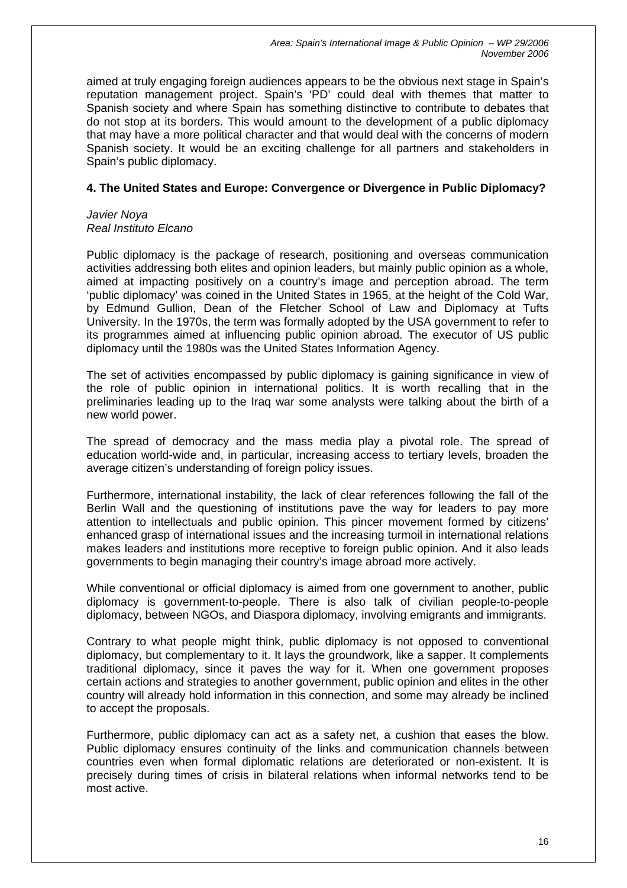aimed at truly engaging foreign audiences appears to be the obvious next stage in Spain's reputation management project. Spain's 'PD' could deal with themes that matter to Spanish society and where Spain has something distinctive to contribute to debates that do not stop at its borders. This would amount to the development of a public diplomacy that may have a more political character and that would deal with the concerns of modern Spanish society. It would be an exciting challenge for all partners and stakeholders in Spain's public diplomacy.

#### **4. The United States and Europe: Convergence or Divergence in Public Diplomacy?**

#### *Javier Noya Real Instituto Elcano*

Public diplomacy is the package of research, positioning and overseas communication activities addressing both elites and opinion leaders, but mainly public opinion as a whole, aimed at impacting positively on a country's image and perception abroad. The term 'public diplomacy' was coined in the United States in 1965, at the height of the Cold War, by Edmund Gullion, Dean of the Fletcher School of Law and Diplomacy at Tufts University. In the 1970s, the term was formally adopted by the USA government to refer to its programmes aimed at influencing public opinion abroad. The executor of US public diplomacy until the 1980s was the United States Information Agency.

The set of activities encompassed by public diplomacy is gaining significance in view of the role of public opinion in international politics. It is worth recalling that in the preliminaries leading up to the Iraq war some analysts were talking about the birth of a new world power.

The spread of democracy and the mass media play a pivotal role. The spread of education world-wide and, in particular, increasing access to tertiary levels, broaden the average citizen's understanding of foreign policy issues.

Furthermore, international instability, the lack of clear references following the fall of the Berlin Wall and the questioning of institutions pave the way for leaders to pay more attention to intellectuals and public opinion. This pincer movement formed by citizens' enhanced grasp of international issues and the increasing turmoil in international relations makes leaders and institutions more receptive to foreign public opinion. And it also leads governments to begin managing their country's image abroad more actively.

While conventional or official diplomacy is aimed from one government to another, public diplomacy is government-to-people. There is also talk of civilian people-to-people diplomacy, between NGOs, and Diaspora diplomacy, involving emigrants and immigrants.

Contrary to what people might think, public diplomacy is not opposed to conventional diplomacy, but complementary to it. It lays the groundwork, like a sapper. It complements traditional diplomacy, since it paves the way for it. When one government proposes certain actions and strategies to another government, public opinion and elites in the other country will already hold information in this connection, and some may already be inclined to accept the proposals.

Furthermore, public diplomacy can act as a safety net, a cushion that eases the blow. Public diplomacy ensures continuity of the links and communication channels between countries even when formal diplomatic relations are deteriorated or non-existent. It is precisely during times of crisis in bilateral relations when informal networks tend to be most active.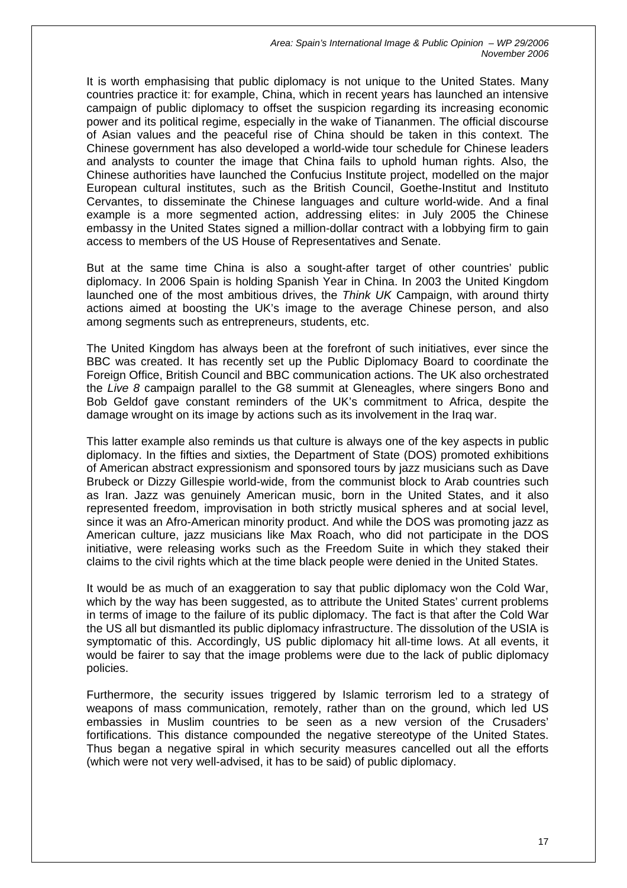It is worth emphasising that public diplomacy is not unique to the United States. Many countries practice it: for example, China, which in recent years has launched an intensive campaign of public diplomacy to offset the suspicion regarding its increasing economic power and its political regime, especially in the wake of Tiananmen. The official discourse of Asian values and the peaceful rise of China should be taken in this context. The Chinese government has also developed a world-wide tour schedule for Chinese leaders and analysts to counter the image that China fails to uphold human rights. Also, the Chinese authorities have launched the Confucius Institute project, modelled on the major European cultural institutes, such as the British Council, Goethe-Institut and Instituto Cervantes, to disseminate the Chinese languages and culture world-wide. And a final example is a more segmented action, addressing elites: in July 2005 the Chinese embassy in the United States signed a million-dollar contract with a lobbying firm to gain access to members of the US House of Representatives and Senate.

But at the same time China is also a sought-after target of other countries' public diplomacy. In 2006 Spain is holding Spanish Year in China. In 2003 the United Kingdom launched one of the most ambitious drives, the *Think UK* Campaign, with around thirty actions aimed at boosting the UK's image to the average Chinese person, and also among segments such as entrepreneurs, students, etc.

The United Kingdom has always been at the forefront of such initiatives, ever since the BBC was created. It has recently set up the Public Diplomacy Board to coordinate the Foreign Office, British Council and BBC communication actions. The UK also orchestrated the *Live 8* campaign parallel to the G8 summit at Gleneagles, where singers Bono and Bob Geldof gave constant reminders of the UK's commitment to Africa, despite the damage wrought on its image by actions such as its involvement in the Iraq war.

This latter example also reminds us that culture is always one of the key aspects in public diplomacy. In the fifties and sixties, the Department of State (DOS) promoted exhibitions of American abstract expressionism and sponsored tours by jazz musicians such as Dave Brubeck or Dizzy Gillespie world-wide, from the communist block to Arab countries such as Iran. Jazz was genuinely American music, born in the United States, and it also represented freedom, improvisation in both strictly musical spheres and at social level, since it was an Afro-American minority product. And while the DOS was promoting jazz as American culture, jazz musicians like Max Roach, who did not participate in the DOS initiative, were releasing works such as the Freedom Suite in which they staked their claims to the civil rights which at the time black people were denied in the United States.

It would be as much of an exaggeration to say that public diplomacy won the Cold War, which by the way has been suggested, as to attribute the United States' current problems in terms of image to the failure of its public diplomacy. The fact is that after the Cold War the US all but dismantled its public diplomacy infrastructure. The dissolution of the USIA is symptomatic of this. Accordingly, US public diplomacy hit all-time lows. At all events, it would be fairer to say that the image problems were due to the lack of public diplomacy policies.

Furthermore, the security issues triggered by Islamic terrorism led to a strategy of weapons of mass communication, remotely, rather than on the ground, which led US embassies in Muslim countries to be seen as a new version of the Crusaders' fortifications. This distance compounded the negative stereotype of the United States. Thus began a negative spiral in which security measures cancelled out all the efforts (which were not very well-advised, it has to be said) of public diplomacy.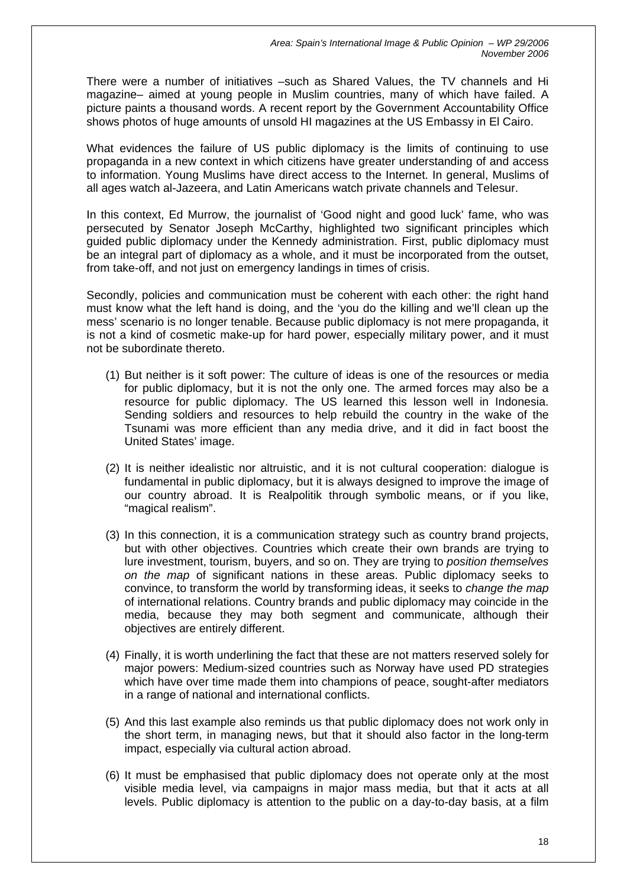There were a number of initiatives –such as Shared Values, the TV channels and Hi magazine– aimed at young people in Muslim countries, many of which have failed. A picture paints a thousand words. A recent report by the Government Accountability Office shows photos of huge amounts of unsold HI magazines at the US Embassy in El Cairo.

What evidences the failure of US public diplomacy is the limits of continuing to use propaganda in a new context in which citizens have greater understanding of and access to information. Young Muslims have direct access to the Internet. In general, Muslims of all ages watch al-Jazeera, and Latin Americans watch private channels and Telesur.

In this context, Ed Murrow, the journalist of 'Good night and good luck' fame, who was persecuted by Senator Joseph McCarthy, highlighted two significant principles which guided public diplomacy under the Kennedy administration. First, public diplomacy must be an integral part of diplomacy as a whole, and it must be incorporated from the outset, from take-off, and not just on emergency landings in times of crisis.

Secondly, policies and communication must be coherent with each other: the right hand must know what the left hand is doing, and the 'you do the killing and we'll clean up the mess' scenario is no longer tenable. Because public diplomacy is not mere propaganda, it is not a kind of cosmetic make-up for hard power, especially military power, and it must not be subordinate thereto.

- (1) But neither is it soft power: The culture of ideas is one of the resources or media for public diplomacy, but it is not the only one. The armed forces may also be a resource for public diplomacy. The US learned this lesson well in Indonesia. Sending soldiers and resources to help rebuild the country in the wake of the Tsunami was more efficient than any media drive, and it did in fact boost the United States' image.
- (2) It is neither idealistic nor altruistic, and it is not cultural cooperation: dialogue is fundamental in public diplomacy, but it is always designed to improve the image of our country abroad. It is Realpolitik through symbolic means, or if you like, "magical realism".
- (3) In this connection, it is a communication strategy such as country brand projects, but with other objectives. Countries which create their own brands are trying to lure investment, tourism, buyers, and so on. They are trying to *position themselves on the map* of significant nations in these areas. Public diplomacy seeks to convince, to transform the world by transforming ideas, it seeks to *change the map* of international relations. Country brands and public diplomacy may coincide in the media, because they may both segment and communicate, although their objectives are entirely different.
- (4) Finally, it is worth underlining the fact that these are not matters reserved solely for major powers: Medium-sized countries such as Norway have used PD strategies which have over time made them into champions of peace, sought-after mediators in a range of national and international conflicts.
- (5) And this last example also reminds us that public diplomacy does not work only in the short term, in managing news, but that it should also factor in the long-term impact, especially via cultural action abroad.
- (6) It must be emphasised that public diplomacy does not operate only at the most visible media level, via campaigns in major mass media, but that it acts at all levels. Public diplomacy is attention to the public on a day-to-day basis, at a film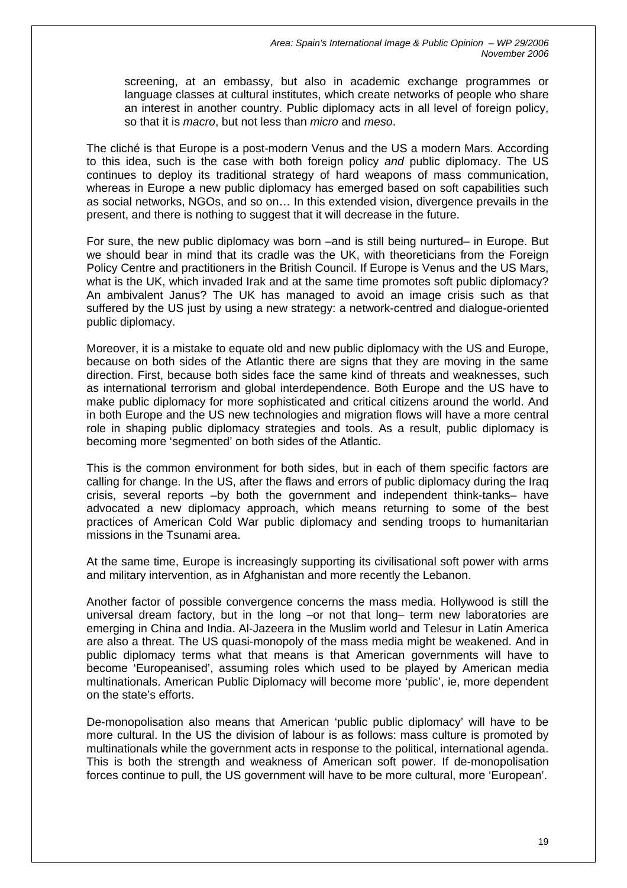screening, at an embassy, but also in academic exchange programmes or language classes at cultural institutes, which create networks of people who share an interest in another country. Public diplomacy acts in all level of foreign policy, so that it is *macro*, but not less than *micro* and *meso*.

The cliché is that Europe is a post-modern Venus and the US a modern Mars. According to this idea, such is the case with both foreign policy *and* public diplomacy. The US continues to deploy its traditional strategy of hard weapons of mass communication, whereas in Europe a new public diplomacy has emerged based on soft capabilities such as social networks, NGOs, and so on… In this extended vision, divergence prevails in the present, and there is nothing to suggest that it will decrease in the future.

For sure, the new public diplomacy was born –and is still being nurtured– in Europe. But we should bear in mind that its cradle was the UK, with theoreticians from the Foreign Policy Centre and practitioners in the British Council. If Europe is Venus and the US Mars, what is the UK, which invaded Irak and at the same time promotes soft public diplomacy? An ambivalent Janus? The UK has managed to avoid an image crisis such as that suffered by the US just by using a new strategy: a network-centred and dialogue-oriented public diplomacy.

Moreover, it is a mistake to equate old and new public diplomacy with the US and Europe, because on both sides of the Atlantic there are signs that they are moving in the same direction. First, because both sides face the same kind of threats and weaknesses, such as international terrorism and global interdependence. Both Europe and the US have to make public diplomacy for more sophisticated and critical citizens around the world. And in both Europe and the US new technologies and migration flows will have a more central role in shaping public diplomacy strategies and tools. As a result, public diplomacy is becoming more 'segmented' on both sides of the Atlantic.

This is the common environment for both sides, but in each of them specific factors are calling for change. In the US, after the flaws and errors of public diplomacy during the Iraq crisis, several reports –by both the government and independent think-tanks– have advocated a new diplomacy approach, which means returning to some of the best practices of American Cold War public diplomacy and sending troops to humanitarian missions in the Tsunami area.

At the same time, Europe is increasingly supporting its civilisational soft power with arms and military intervention, as in Afghanistan and more recently the Lebanon.

Another factor of possible convergence concerns the mass media. Hollywood is still the universal dream factory, but in the long –or not that long– term new laboratories are emerging in China and India. Al-Jazeera in the Muslim world and Telesur in Latin America are also a threat. The US quasi-monopoly of the mass media might be weakened. And in public diplomacy terms what that means is that American governments will have to become 'Europeanised', assuming roles which used to be played by American media multinationals. American Public Diplomacy will become more 'public', ie, more dependent on the state's efforts.

De-monopolisation also means that American 'public public diplomacy' will have to be more cultural. In the US the division of labour is as follows: mass culture is promoted by multinationals while the government acts in response to the political, international agenda. This is both the strength and weakness of American soft power. If de-monopolisation forces continue to pull, the US government will have to be more cultural, more 'European'.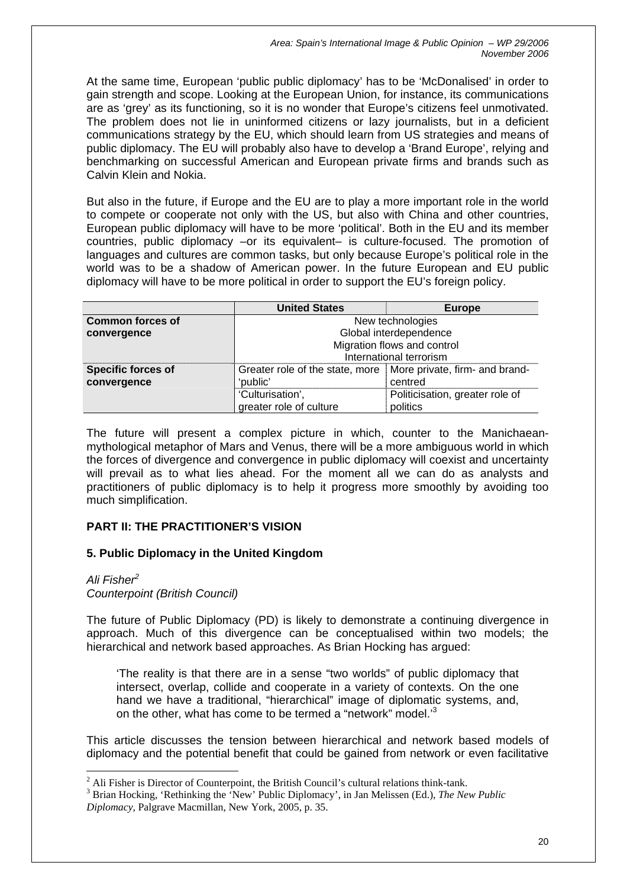At the same time, European 'public public diplomacy' has to be 'McDonalised' in order to gain strength and scope. Looking at the European Union, for instance, its communications are as 'grey' as its functioning, so it is no wonder that Europe's citizens feel unmotivated. The problem does not lie in uninformed citizens or lazy journalists, but in a deficient communications strategy by the EU, which should learn from US strategies and means of public diplomacy. The EU will probably also have to develop a 'Brand Europe', relying and benchmarking on successful American and European private firms and brands such as Calvin Klein and Nokia.

But also in the future, if Europe and the EU are to play a more important role in the world to compete or cooperate not only with the US, but also with China and other countries, European public diplomacy will have to be more 'political'. Both in the EU and its member countries, public diplomacy –or its equivalent– is culture-focused. The promotion of languages and cultures are common tasks, but only because Europe's political role in the world was to be a shadow of American power. In the future European and EU public diplomacy will have to be more political in order to support the EU's foreign policy.

|                                          | <b>United States</b>                                                         | <b>Europe</b>                               |
|------------------------------------------|------------------------------------------------------------------------------|---------------------------------------------|
| <b>Common forces of</b>                  | New technologies                                                             |                                             |
| convergence                              | Global interdependence                                                       |                                             |
|                                          | Migration flows and control                                                  |                                             |
|                                          | International terrorism                                                      |                                             |
| <b>Specific forces of</b><br>convergence | Greater role of the state, more   More private, firm- and brand-<br>'public' | centred                                     |
|                                          | 'Culturisation',<br>greater role of culture                                  | Politicisation, greater role of<br>politics |

The future will present a complex picture in which, counter to the Manichaeanmythological metaphor of Mars and Venus, there will be a more ambiguous world in which the forces of divergence and convergence in public diplomacy will coexist and uncertainty will prevail as to what lies ahead. For the moment all we can do as analysts and practitioners of public diplomacy is to help it progress more smoothly by avoiding too much simplification.

# **PART II: THE PRACTITIONER'S VISION**

## **5. Public Diplomacy in the United Kingdom**

## *Ali Fishe[r2](#page-20-0)*

 $\overline{a}$ 

*Counterpoint (British Council)* 

The future of Public Diplomacy (PD) is likely to demonstrate a continuing divergence in approach. Much of this divergence can be conceptualised within two models; the hierarchical and network based approaches. As Brian Hocking has argued:

'The reality is that there are in a sense "two worlds" of public diplomacy that intersect, overlap, collide and cooperate in a variety of contexts. On the one hand we have a traditional, "hierarchical" image of diplomatic systems, and, on the other, what has come to be termed a "network" model.'[3](#page-20-1)

This article discusses the tension between hierarchical and network based models of diplomacy and the potential benefit that could be gained from network or even facilitative

<span id="page-20-0"></span> $2$  Ali Fisher is Director of Counterpoint, the British Council's cultural relations think-tank.

<span id="page-20-1"></span><sup>3</sup> Brian Hocking, 'Rethinking the 'New' Public Diplomacy', in Jan Melissen (Ed.), *The New Public Diplomacy*, Palgrave Macmillan, New York, 2005, p. 35.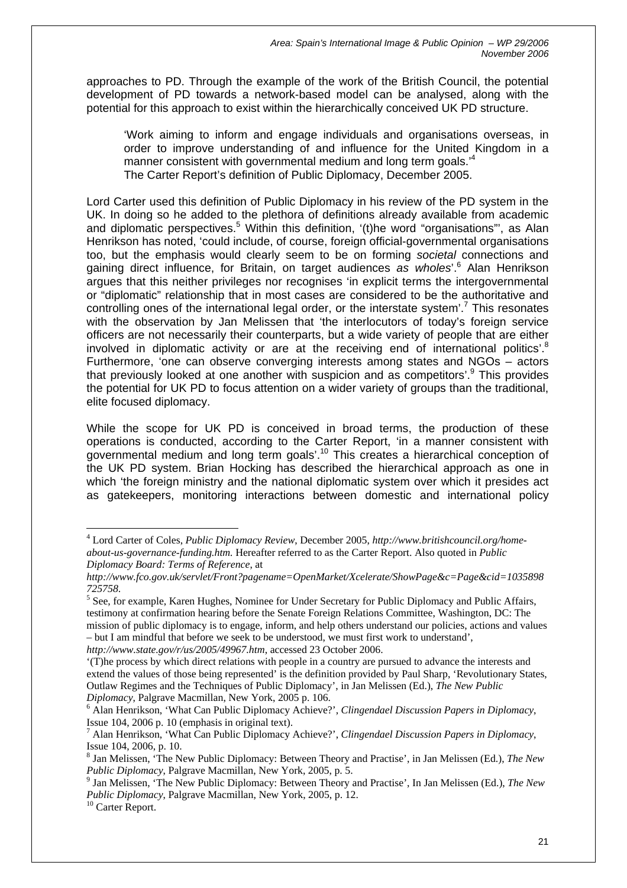approaches to PD. Through the example of the work of the British Council, the potential development of PD towards a network-based model can be analysed, along with the potential for this approach to exist within the hierarchically conceived UK PD structure.

'Work aiming to inform and engage individuals and organisations overseas, in order to improve understanding of and influence for the United Kingdom in a manner consistent with governmental medium and long term goals.<sup>4</sup> The Carter Report's definition of Public Diplomacy, December 2005.

Lord Carter used this definition of Public Diplomacy in his review of the PD system in the UK. In doing so he added to the plethora of definitions already available from academic and diplomatic perspectives.<sup>[5](#page-21-1)</sup> Within this definition, '(t)he word "organisations"', as Alan Henrikson has noted, 'could include, of course, foreign official-governmental organisations too, but the emphasis would clearly seem to be on forming *societal* connections and gaining direct influence, for Britain, on target audiences *as wholes*'.[6](#page-21-2) Alan Henrikson argues that this neither privileges nor recognises 'in explicit terms the intergovernmental or "diplomatic" relationship that in most cases are considered to be the authoritative and controlling ones of the international legal order, or the interstate system'.<sup>[7](#page-21-3)</sup> This resonates with the observation by Jan Melissen that 'the interlocutors of today's foreign service officers are not necessarily their counterparts, but a wide variety of people that are either involved in diplomatic activity or are at the receiving end of international politics'.<sup>[8](#page-21-4)</sup> Furthermore, 'one can observe converging interests among states and NGOs – actors that previously looked at one another with suspicion and as competitors'.<sup>[9](#page-21-5)</sup> This provides the potential for UK PD to focus attention on a wider variety of groups than the traditional, elite focused diplomacy.

While the scope for UK PD is conceived in broad terms, the production of these operations is conducted, according to the Carter Report, 'in a manner consistent with governmental medium and long term goals'.[10](#page-21-6) This creates a hierarchical conception of the UK PD system. Brian Hocking has described the hierarchical approach as one in which 'the foreign ministry and the national diplomatic system over which it presides act as gatekeepers, monitoring interactions between domestic and international policy

*http://www.state.gov/r/us/2005/49967.htm*, accessed 23 October 2006.

<span id="page-21-0"></span><sup>4</sup> Lord Carter of Coles, *Public Diplomacy Review*, December 2005, *http://www.britishcouncil.org/homeabout-us-governance-funding.htm.* Hereafter referred to as the Carter Report. Also quoted in *Public Diplomacy Board: Terms of Reference*, at

*http://www.fco.gov.uk/servlet/Front?pagename=OpenMarket/Xcelerate/ShowPage&c=Page&cid=1035898*

<span id="page-21-1"></span>*<sup>725758</sup>*. 5 See, for example, Karen Hughes, Nominee for Under Secretary for Public Diplomacy and Public Affairs, testimony at confirmation hearing before the Senate Foreign Relations Committee, Washington, DC: The mission of public diplomacy is to engage, inform, and help others understand our policies, actions and values – but I am mindful that before we seek to be understood, we must first work to understand',

<sup>&#</sup>x27;(T)he process by which direct relations with people in a country are pursued to advance the interests and extend the values of those being represented' is the definition provided by Paul Sharp, 'Revolutionary States, Outlaw Regimes and the Techniques of Public Diplomacy', in Jan Melissen (Ed.), *The New Public Diplomacy*, Palgrave Macmillan, New York, 2005 p. 106.

<span id="page-21-2"></span>Alan Henrikson, 'What Can Public Diplomacy Achieve?', *Clingendael Discussion Papers in Diplomacy*, Issue  $104$ ,  $2006$  p.  $10$  (emphasis in original text).

<span id="page-21-3"></span>Alan Henrikson, 'What Can Public Diplomacy Achieve?', *Clingendael Discussion Papers in Diplomacy*, Issue 104, 2006, p. 10. 8

<span id="page-21-4"></span><sup>&</sup>lt;sup>8</sup> Jan Melissen, 'The New Public Diplomacy: Between Theory and Practise', in Jan Melissen (Ed.), *The New Public Diplomacy*, Palgrave Macmillan, New York, 2005, p. 5.

<span id="page-21-5"></span><sup>&</sup>lt;sup>9</sup> Jan Melissen, 'The New Public Diplomacy: Between Theory and Practise', In Jan Melissen (Ed.), *The New Public Diplomacy*, Palgrave Macmillan, New York, 2005, p. 12.

<span id="page-21-6"></span><sup>&</sup>lt;sup>10</sup> Carter Report.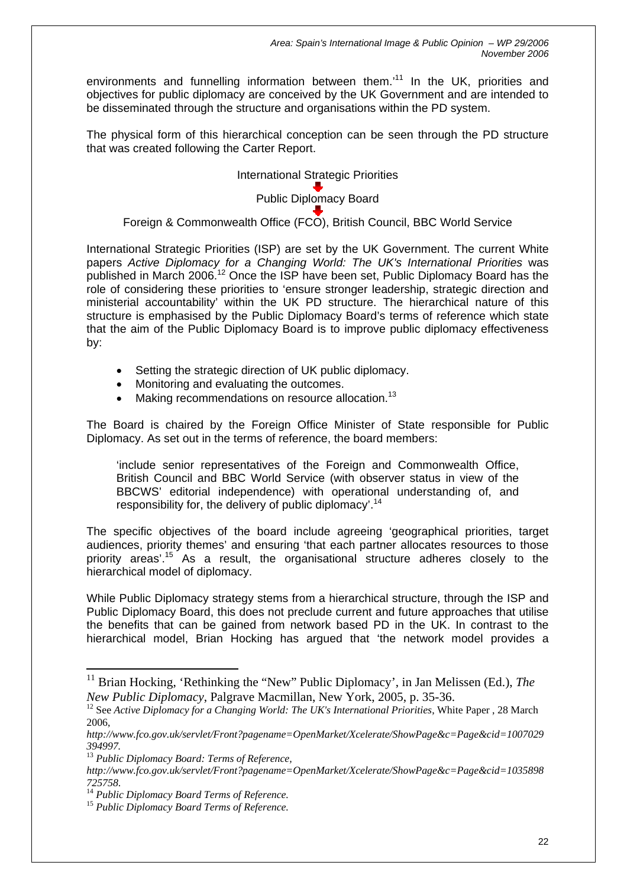environments and funnelling information between them.<sup>11</sup> In the UK, priorities and objectives for public diplomacy are conceived by the UK Government and are intended to be disseminated through the structure and organisations within the PD system.

The physical form of this hierarchical conception can be seen through the PD structure that was created following the Carter Report.

> International Strategic Priorities Public Diplomacy Board

Foreign & Commonwealth Office (FCO), British Council, BBC World Service

International Strategic Priorities (ISP) are set by the UK Government. The current White papers *Active Diplomacy for a Changing World: The UK's International Priorities* was published in March 2006.<sup>12</sup> Once the ISP have been set, Public Diplomacy Board has the role of considering these priorities to 'ensure stronger leadership, strategic direction and ministerial accountability' within the UK PD structure. The hierarchical nature of this structure is emphasised by the Public Diplomacy Board's terms of reference which state that the aim of the Public Diplomacy Board is to improve public diplomacy effectiveness by:

- Setting the strategic direction of UK public diplomacy.
- Monitoring and evaluating the outcomes.
- Making recommendations on resource allocation.<sup>[13](#page-22-2)</sup>

The Board is chaired by the Foreign Office Minister of State responsible for Public Diplomacy. As set out in the terms of reference, the board members:

'include senior representatives of the Foreign and Commonwealth Office, British Council and BBC World Service (with observer status in view of the BBCWS' editorial independence) with operational understanding of, and responsibility for, the delivery of public diplomacy'.<sup>[14](#page-22-3)</sup>

The specific objectives of the board include agreeing 'geographical priorities, target audiences, priority themes' and ensuring 'that each partner allocates resources to those priority areas<sup>'.15</sup> As a result, the organisational structure adheres closely to the hierarchical model of diplomacy.

While Public Diplomacy strategy stems from a hierarchical structure, through the ISP and Public Diplomacy Board, this does not preclude current and future approaches that utilise the benefits that can be gained from network based PD in the UK. In contrast to the hierarchical model, Brian Hocking has argued that 'the network model provides a

<span id="page-22-0"></span><sup>&</sup>lt;sup>11</sup> Brian Hocking, 'Rethinking the "New" Public Diplomacy', in Jan Melissen (Ed.), *The* 

<span id="page-22-1"></span>*New Public Diplomacy*, Palgrave Macmillan, New York, 2005, p. 35-36.<br><sup>12</sup> See *Active Diplomacy for a Changing World: The UK's International Priorities*, White Paper , 28 March 2006,

*http://www.fco.gov.uk/servlet/Front?pagename=OpenMarket/Xcelerate/ShowPage&c=Page&cid=1007029*

<span id="page-22-2"></span>*<sup>394997.</sup>* <sup>13</sup> *Public Diplomacy Board: Terms of Reference,* 

*http://www.fco.gov.uk/servlet/Front?pagename=OpenMarket/Xcelerate/ShowPage&c=Page&cid=1035898*

<span id="page-22-3"></span>*<sup>725758</sup>*. 14 *Public Diplomacy Board Terms of Reference.* <sup>15</sup> *Public Diplomacy Board Terms of Reference.*

<span id="page-22-4"></span>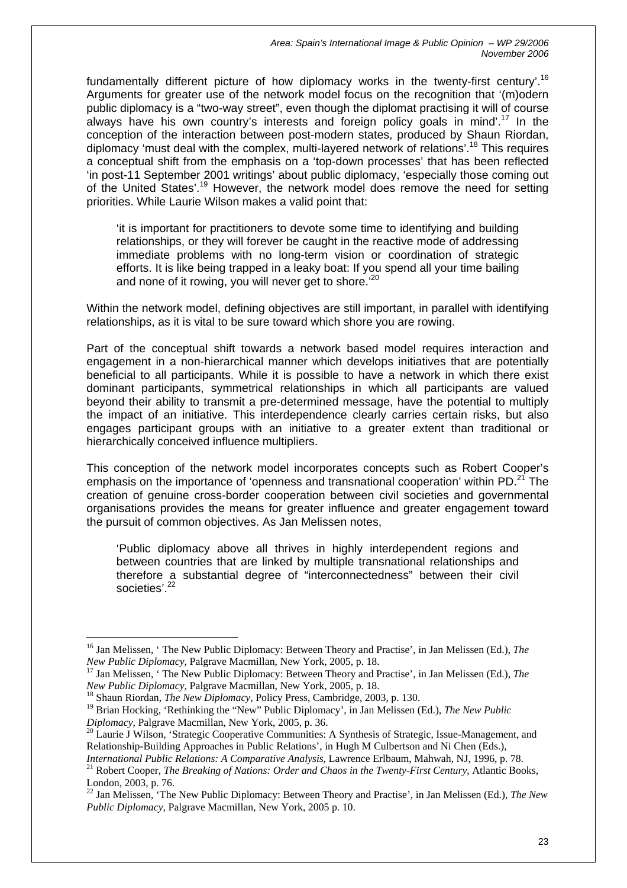fundamentally different picture of how diplomacy works in the twenty-first century'.[16](#page-23-0) Arguments for greater use of the network model focus on the recognition that '(m)odern public diplomacy is a "two-way street", even though the diplomat practising it will of course always have his own country's interests and foreign policy goals in mind'.<sup>17</sup> In the conception of the interaction between post-modern states, produced by Shaun Riordan, diplomacy 'must deal with the complex, multi-layered network of relations'.[18](#page-23-2) This requires a conceptual shift from the emphasis on a 'top-down processes' that has been reflected 'in post-11 September 2001 writings' about public diplomacy, 'especially those coming out of the United States'.[19](#page-23-3) However, the network model does remove the need for setting priorities. While Laurie Wilson makes a valid point that:

'it is important for practitioners to devote some time to identifying and building relationships, or they will forever be caught in the reactive mode of addressing immediate problems with no long-term vision or coordination of strategic efforts. It is like being trapped in a leaky boat: If you spend all your time bailing and none of it rowing, you will never get to shore.<sup>'[20](#page-23-4)</sup>

Within the network model, defining objectives are still important, in parallel with identifying relationships, as it is vital to be sure toward which shore you are rowing.

Part of the conceptual shift towards a network based model requires interaction and engagement in a non-hierarchical manner which develops initiatives that are potentially beneficial to all participants. While it is possible to have a network in which there exist dominant participants, symmetrical relationships in which all participants are valued beyond their ability to transmit a pre-determined message, have the potential to multiply the impact of an initiative. This interdependence clearly carries certain risks, but also engages participant groups with an initiative to a greater extent than traditional or hierarchically conceived influence multipliers.

This conception of the network model incorporates concepts such as Robert Cooper's emphasis on the importance of 'openness and transnational cooperation' within PD.<sup>21</sup> The creation of genuine cross-border cooperation between civil societies and governmental organisations provides the means for greater influence and greater engagement toward the pursuit of common objectives. As Jan Melissen notes,

'Public diplomacy above all thrives in highly interdependent regions and between countries that are linked by multiple transnational relationships and therefore a substantial degree of "interconnectedness" between their civil societies<sup>' [22](#page-23-6)</sup>

<span id="page-23-2"></span><sup>18</sup> Shaun Riordan, *The New Diplomacy*, Policy Press, Cambridge, 2003, p. 130.

<span id="page-23-0"></span><sup>16</sup> Jan Melissen, ' The New Public Diplomacy: Between Theory and Practise', in Jan Melissen (Ed.), *The* 

<span id="page-23-1"></span>*New Public Diplomacy*, Palgrave Macmillan, New York, 2005, p. 18.<br><sup>17</sup> Jan Melissen, ' The New Public Diplomacy: Between Theory and Practise', in Jan Melissen (Ed.), *The New Public Diplomacy*, Palgrave Macmillan, New Yor

<span id="page-23-3"></span><sup>&</sup>lt;sup>19</sup> Brian Hocking, 'Rethinking the "New" Public Diplomacy', in Jan Melissen (Ed.), *The New Public Diplomacy*. Palgrave Macmillan. New York. 2005. p. 36.

<span id="page-23-4"></span><sup>&</sup>lt;sup>20</sup> Laurie J Wilson, 'Strategic Cooperative Communities: A Synthesis of Strategic, Issue-Management, and Relationship-Building Approaches in Public Relations', in Hugh M Culbertson and Ni Chen (Eds.),

<span id="page-23-5"></span>*International Public Relations: A Comparative Analysis*, Lawrence Erlbaum, Mahwah, NJ, 1996, p. 78. <sup>21</sup> Robert Cooper, *The Breaking of Nations: Order and Chaos in the Twenty-First Century*, Atlantic Books, London, 2003, p. 76.

<span id="page-23-6"></span><sup>22</sup> Jan Melissen, 'The New Public Diplomacy: Between Theory and Practise', in Jan Melissen (Ed.), *The New Public Diplomacy*, Palgrave Macmillan, New York, 2005 p. 10.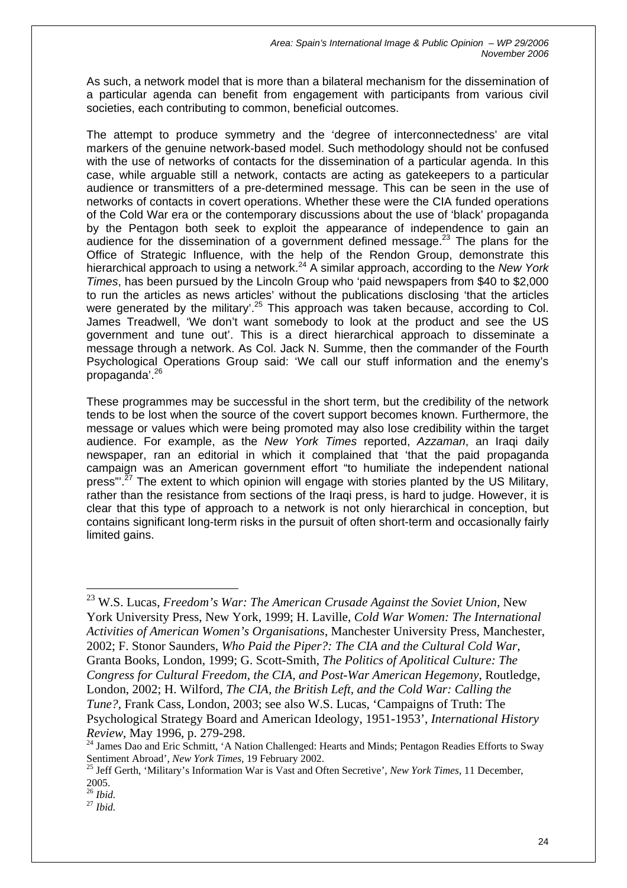As such, a network model that is more than a bilateral mechanism for the dissemination of a particular agenda can benefit from engagement with participants from various civil societies, each contributing to common, beneficial outcomes.

The attempt to produce symmetry and the 'degree of interconnectedness' are vital markers of the genuine network-based model. Such methodology should not be confused with the use of networks of contacts for the dissemination of a particular agenda. In this case, while arguable still a network, contacts are acting as gatekeepers to a particular audience or transmitters of a pre-determined message. This can be seen in the use of networks of contacts in covert operations. Whether these were the CIA funded operations of the Cold War era or the contemporary discussions about the use of 'black' propaganda by the Pentagon both seek to exploit the appearance of independence to gain an audience for the dissemination of a government defined message. $^{23}$  The plans for the Office of Strategic Influence, with the help of the Rendon Group, demonstrate this hierarchical approach to using a network.[24](#page-24-1) A similar approach, according to the *New York Times*, has been pursued by the Lincoln Group who 'paid newspapers from \$40 to \$2,000 to run the articles as news articles' without the publications disclosing 'that the articles were generated by the military'.<sup>25</sup> This approach was taken because, according to Col. James Treadwell, 'We don't want somebody to look at the product and see the US government and tune out'. This is a direct hierarchical approach to disseminate a message through a network. As Col. Jack N. Summe, then the commander of the Fourth Psychological Operations Group said: 'We call our stuff information and the enemy's propaganda'.[26](#page-24-3)

These programmes may be successful in the short term, but the credibility of the network tends to be lost when the source of the covert support becomes known. Furthermore, the message or values which were being promoted may also lose credibility within the target audience. For example, as the *New York Times* reported, *Azzaman*, an Iraqi daily newspaper, ran an editorial in which it complained that 'that the paid propaganda campaign was an American government effort "to humiliate the independent national press"<sup>.  $27$ </sup> The extent to which opinion will engage with stories planted by the US Military, rather than the resistance from sections of the Iraqi press, is hard to judge. However, it is clear that this type of approach to a network is not only hierarchical in conception, but contains significant long-term risks in the pursuit of often short-term and occasionally fairly limited gains.

<span id="page-24-0"></span><sup>23</sup> W.S. Lucas, *Freedom's War: The American Crusade Against the Soviet Union*, New York University Press, New York, 1999; H. Laville, *Cold War Women: The International Activities of American Women's Organisations*, Manchester University Press, Manchester, 2002; F. Stonor Saunders, *Who Paid the Piper?: The CIA and the Cultural Cold War*, Granta Books, London, 1999; G. Scott-Smith, *The Politics of Apolitical Culture: The Congress for Cultural Freedom, the CIA, and Post-War American Hegemony*, Routledge, London, 2002; H. Wilford, *The CIA, the British Left, and the Cold War: Calling the Tune?*, Frank Cass, London, 2003; see also W.S. Lucas, 'Campaigns of Truth: The Psychological Strategy Board and American Ideology, 1951-1953', *International History Review*, May 1996, p. 279-298.<br><sup>24</sup> James Dao and Eric Schmitt, 'A Nation Challenged: Hearts and Minds; Pentagon Readies Efforts to Sway

<span id="page-24-1"></span>Sentiment Abroad', *New York Times*, 19 February 2002.<br><sup>25</sup> Jeff Gerth, 'Military's Information War is Vast and Often Secretive', *New York Times*, 11 December,

<span id="page-24-2"></span>

<sup>2005. 26</sup> *Ibid.*

<span id="page-24-4"></span><span id="page-24-3"></span><sup>27</sup> *Ibid.*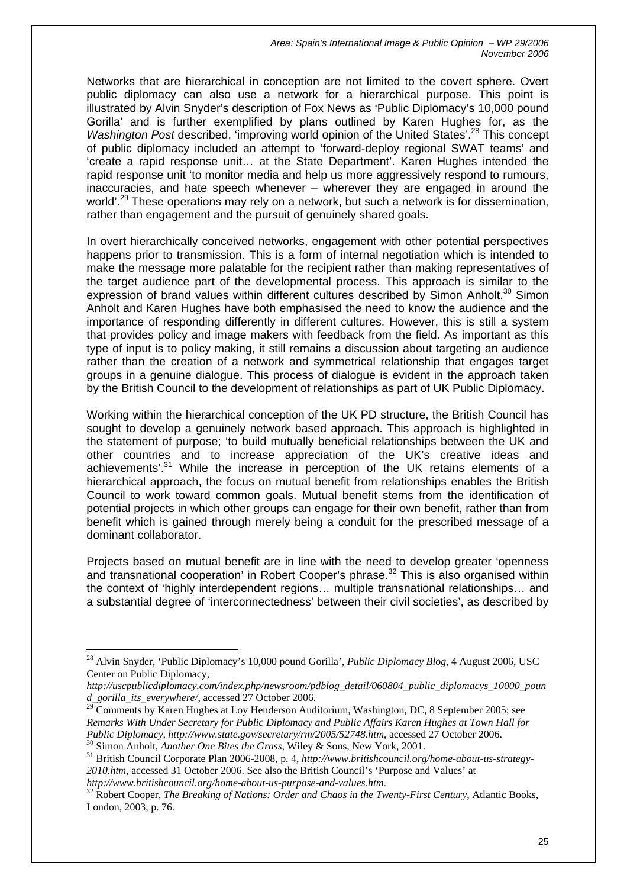Networks that are hierarchical in conception are not limited to the covert sphere. Overt public diplomacy can also use a network for a hierarchical purpose. This point is illustrated by Alvin Snyder's description of Fox News as 'Public Diplomacy's 10,000 pound Gorilla' and is further exemplified by plans outlined by Karen Hughes for, as the *Washington Post described, 'improving world opinion of the United States'.<sup>28</sup> This concept* of public diplomacy included an attempt to 'forward-deploy regional SWAT teams' and 'create a rapid response unit… at the State Department'. Karen Hughes intended the rapid response unit 'to monitor media and help us more aggressively respond to rumours, inaccuracies, and hate speech whenever – wherever they are engaged in around the world'.<sup>29</sup> These operations may rely on a network, but such a network is for dissemination, rather than engagement and the pursuit of genuinely shared goals.

In overt hierarchically conceived networks, engagement with other potential perspectives happens prior to transmission. This is a form of internal negotiation which is intended to make the message more palatable for the recipient rather than making representatives of the target audience part of the developmental process. This approach is similar to the expression of brand values within different cultures described by Simon Anholt.<sup>30</sup> Simon Anholt and Karen Hughes have both emphasised the need to know the audience and the importance of responding differently in different cultures. However, this is still a system that provides policy and image makers with feedback from the field. As important as this type of input is to policy making, it still remains a discussion about targeting an audience rather than the creation of a network and symmetrical relationship that engages target groups in a genuine dialogue. This process of dialogue is evident in the approach taken by the British Council to the development of relationships as part of UK Public Diplomacy.

Working within the hierarchical conception of the UK PD structure, the British Council has sought to develop a genuinely network based approach. This approach is highlighted in the statement of purpose; 'to build mutually beneficial relationships between the UK and other countries and to increase appreciation of the UK's creative ideas and achievements'.<sup>31</sup> While the increase in perception of the UK retains elements of a hierarchical approach, the focus on mutual benefit from relationships enables the British Council to work toward common goals. Mutual benefit stems from the identification of potential projects in which other groups can engage for their own benefit, rather than from benefit which is gained through merely being a conduit for the prescribed message of a dominant collaborator.

Projects based on mutual benefit are in line with the need to develop greater 'openness and transnational cooperation' in Robert Cooper's phrase.<sup>32</sup> This is also organised within the context of 'highly interdependent regions… multiple transnational relationships… and a substantial degree of 'interconnectedness' between their civil societies', as described by

*http://www.britishcouncil.org/home-about-us-purpose-and-values.htm*.

<span id="page-25-0"></span><sup>28</sup> Alvin Snyder, 'Public Diplomacy's 10,000 pound Gorilla', *Public Diplomacy Blog*, 4 August 2006, USC Center on Public Diplomacy,

*http://uscpublicdiplomacy.com/index.php/newsroom/pdblog\_detail/060804\_public\_diplomacys\_10000\_poun d\_gorilla\_its\_everywhere/*, accessed 27 October 2006.

<span id="page-25-1"></span> $29$  Comments by Karen Hughes at Loy Henderson Auditorium, Washington, DC, 8 September 2005; see *Remarks With Under Secretary for Public Diplomacy and Public Affairs Karen Hughes at Town Hall for Public Diplomacy, http://www.state.gov/secretary/rm/2005/52748.htm, accessed 27 October 2006.*<br><sup>30</sup> Simon Anholt, *Another One Bites the Grass, Wiley & Sons, New York, 2001.*<br><sup>31</sup> British Council Corporate Plan 2006-2008,

<span id="page-25-2"></span>

<span id="page-25-3"></span>*<sup>2010.</sup>htm*, accessed 31 October 2006. See also the British Council's 'Purpose and Values' at

<span id="page-25-4"></span><sup>32</sup> Robert Cooper, *The Breaking of Nations: Order and Chaos in the Twenty-First Century*, Atlantic Books, London, 2003, p. 76.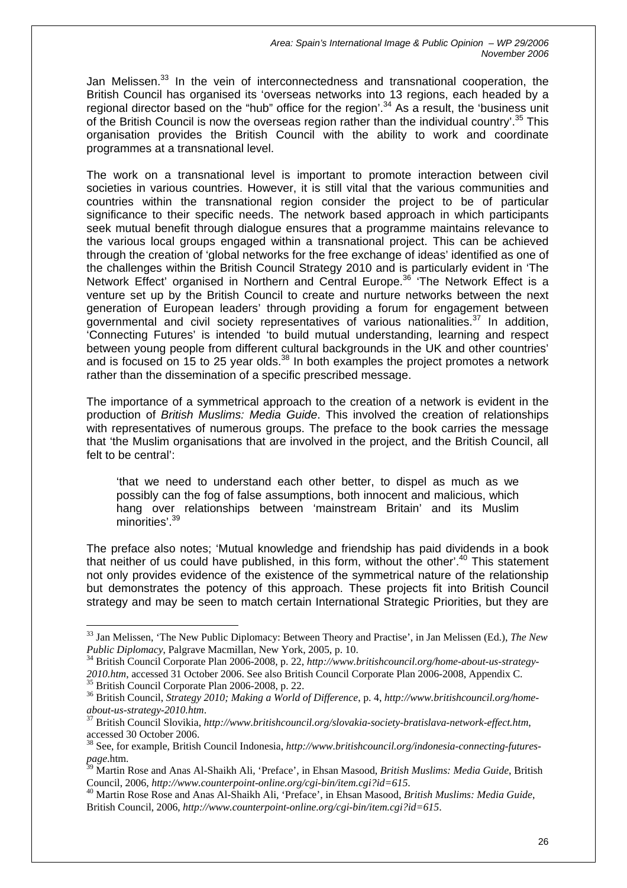Jan Melissen.<sup>33</sup> In the vein of interconnectedness and transnational cooperation, the British Council has organised its 'overseas networks into 13 regions, each headed by a regional director based on the "hub" office for the region'.<sup>34</sup> As a result, the 'business unit of the British Council is now the overseas region rather than the individual country'.<sup>35</sup> This organisation provides the British Council with the ability to work and coordinate programmes at a transnational level.

The work on a transnational level is important to promote interaction between civil societies in various countries. However, it is still vital that the various communities and countries within the transnational region consider the project to be of particular significance to their specific needs. The network based approach in which participants seek mutual benefit through dialogue ensures that a programme maintains relevance to the various local groups engaged within a transnational project. This can be achieved through the creation of 'global networks for the free exchange of ideas' identified as one of the challenges within the British Council Strategy 2010 and is particularly evident in 'The Network Effect' organised in Northern and Central Europe.<sup>36</sup> 'The Network Effect is a venture set up by the British Council to create and nurture networks between the next generation of European leaders' through providing a forum for engagement between governmental and civil society representatives of various nationalities. $37$  In addition, 'Connecting Futures' is intended 'to build mutual understanding, learning and respect between young people from different cultural backgrounds in the UK and other countries' and is focused on 15 to 25 year olds. $38$  In both examples the project promotes a network rather than the dissemination of a specific prescribed message.

The importance of a symmetrical approach to the creation of a network is evident in the production of *British Muslims: Media Guide*. This involved the creation of relationships with representatives of numerous groups. The preface to the book carries the message that 'the Muslim organisations that are involved in the project, and the British Council, all felt to be central':

'that we need to understand each other better, to dispel as much as we possibly can the fog of false assumptions, both innocent and malicious, which hang over relationships between 'mainstream Britain' and its Muslim minorities'.<sup>39</sup>

The preface also notes; 'Mutual knowledge and friendship has paid dividends in a book that neither of us could have published, in this form, without the other'.<sup>40</sup> This statement not only provides evidence of the existence of the symmetrical nature of the relationship but demonstrates the potency of this approach. These projects fit into British Council strategy and may be seen to match certain International Strategic Priorities, but they are

<span id="page-26-0"></span><sup>33</sup> Jan Melissen, 'The New Public Diplomacy: Between Theory and Practise', in Jan Melissen (Ed.), *The New* 

<span id="page-26-1"></span><sup>&</sup>lt;sup>34</sup> British Council Corporate Plan 2006-2008, p. 22, *http://www.britishcouncil.org/home-about-us-strategy-*2010.htm, accessed 31 October 2006. See also British Council Corporate Plan 2006-2008, Appendix C.<br><sup>35</sup> British Council Corporate Plan 2006-2008, p. 22.<br><sup>36</sup> British Council, *Strategy 2010; Making a World of Difference*,

<span id="page-26-3"></span><span id="page-26-2"></span>*about-us-strategy-2010.htm*. 37 British Council Slovikia, *http://www.britishcouncil.org/slovakia-society-bratislava-network-effect.htm*,

<span id="page-26-4"></span>

<span id="page-26-5"></span>accessed 30 October 2006.<br><sup>38</sup> See, for example, British Council Indonesia, *http://www.britishcouncil.org/indonesia-connecting-futures-*<br>page.htm.

<span id="page-26-6"></span>*page*.htm. 39 Martin Rose and Anas Al-Shaikh Ali, 'Preface', in Ehsan Masood, *British Muslims: Media Guide*, British Council, 2006, *http://www.counterpoint-online.org/cgi-bin/item.cgi?id=615*.

<span id="page-26-7"></span><sup>40</sup> Martin Rose Rose and Anas Al-Shaikh Ali, 'Preface', in Ehsan Masood, *British Muslims: Media Guide*, British Council, 2006, *http://www.counterpoint-online.org/cgi-bin/item.cgi?id=615*.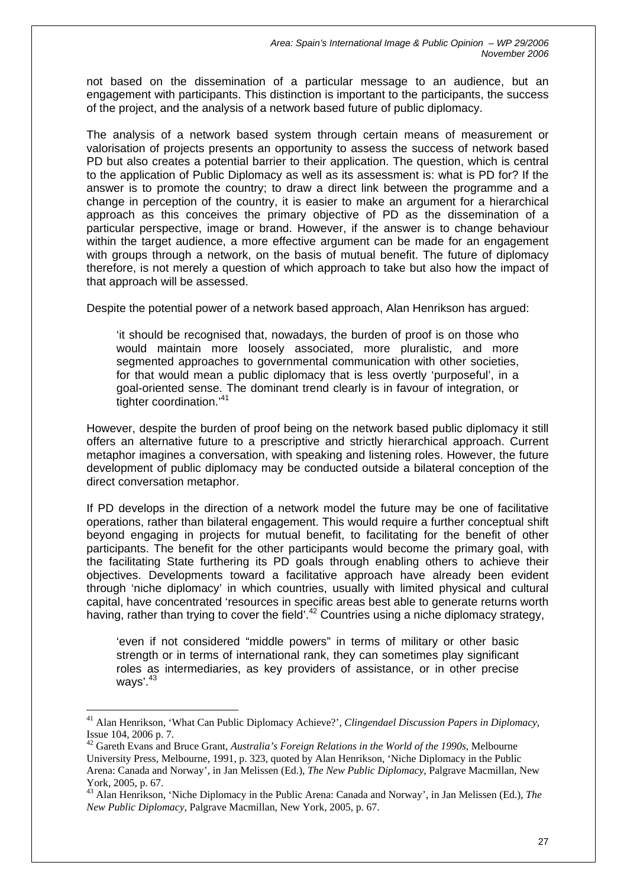not based on the dissemination of a particular message to an audience, but an engagement with participants. This distinction is important to the participants, the success of the project, and the analysis of a network based future of public diplomacy.

The analysis of a network based system through certain means of measurement or valorisation of projects presents an opportunity to assess the success of network based PD but also creates a potential barrier to their application. The question, which is central to the application of Public Diplomacy as well as its assessment is: what is PD for? If the answer is to promote the country; to draw a direct link between the programme and a change in perception of the country, it is easier to make an argument for a hierarchical approach as this conceives the primary objective of PD as the dissemination of a particular perspective, image or brand. However, if the answer is to change behaviour within the target audience, a more effective argument can be made for an engagement with groups through a network, on the basis of mutual benefit. The future of diplomacy therefore, is not merely a question of which approach to take but also how the impact of that approach will be assessed.

Despite the potential power of a network based approach, Alan Henrikson has argued:

'it should be recognised that, nowadays, the burden of proof is on those who would maintain more loosely associated, more pluralistic, and more segmented approaches to governmental communication with other societies, for that would mean a public diplomacy that is less overtly 'purposeful', in a goal-oriented sense. The dominant trend clearly is in favour of integration, or tighter coordination.<sup>'[41](#page-27-0)</sup>

However, despite the burden of proof being on the network based public diplomacy it still offers an alternative future to a prescriptive and strictly hierarchical approach. Current metaphor imagines a conversation, with speaking and listening roles. However, the future development of public diplomacy may be conducted outside a bilateral conception of the direct conversation metaphor.

If PD develops in the direction of a network model the future may be one of facilitative operations, rather than bilateral engagement. This would require a further conceptual shift beyond engaging in projects for mutual benefit, to facilitating for the benefit of other participants. The benefit for the other participants would become the primary goal, with the facilitating State furthering its PD goals through enabling others to achieve their objectives. Developments toward a facilitative approach have already been evident through 'niche diplomacy' in which countries, usually with limited physical and cultural capital, have concentrated 'resources in specific areas best able to generate returns worth having, rather than trying to cover the field'.<sup>42</sup> Countries using a niche diplomacy strategy,

'even if not considered "middle powers" in terms of military or other basic strength or in terms of international rank, they can sometimes play significant roles as intermediaries, as key providers of assistance, or in other precise ways'.<sup>43</sup>

<span id="page-27-0"></span><sup>41</sup> Alan Henrikson, 'What Can Public Diplomacy Achieve?', *Clingendael Discussion Papers in Diplomacy*, Issue 104, 2006 p. 7. 42 Gareth Evans and Bruce Grant, *Australia's Foreign Relations in the World of the 1990s*, Melbourne

<span id="page-27-1"></span>University Press, Melbourne, 1991, p. 323, quoted by Alan Henrikson, 'Niche Diplomacy in the Public Arena: Canada and Norway', in Jan Melissen (Ed.), *The New Public Diplomacy*, Palgrave Macmillan, New York, 2005, p. 67.

<span id="page-27-2"></span><sup>43</sup> Alan Henrikson, 'Niche Diplomacy in the Public Arena: Canada and Norway', in Jan Melissen (Ed.), *The New Public Diplomacy*, Palgrave Macmillan, New York, 2005, p. 67.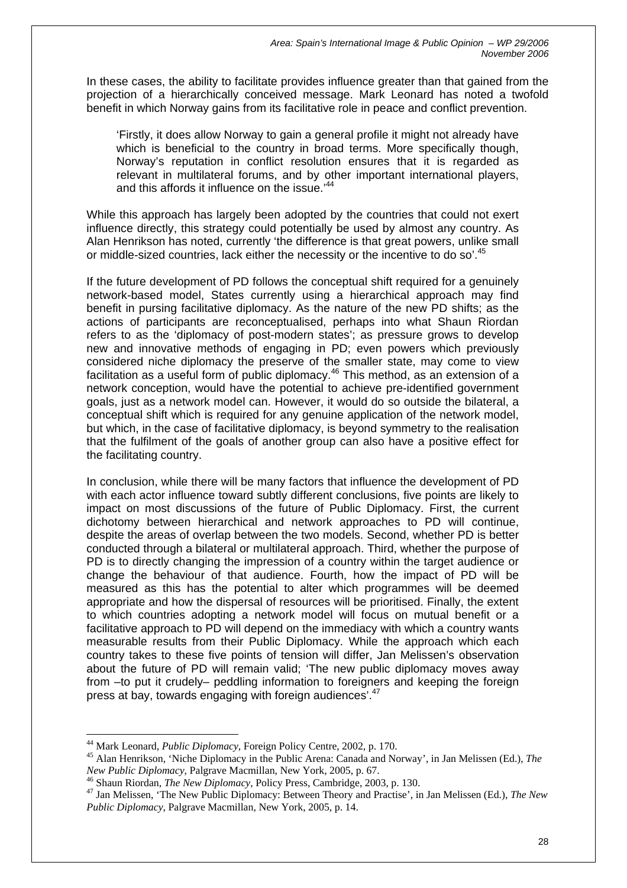In these cases, the ability to facilitate provides influence greater than that gained from the projection of a hierarchically conceived message. Mark Leonard has noted a twofold benefit in which Norway gains from its facilitative role in peace and conflict prevention.

'Firstly, it does allow Norway to gain a general profile it might not already have which is beneficial to the country in broad terms. More specifically though, Norway's reputation in conflict resolution ensures that it is regarded as relevant in multilateral forums, and by other important international players, and this affords it influence on the issue.<sup>44</sup>

While this approach has largely been adopted by the countries that could not exert influence directly, this strategy could potentially be used by almost any country. As Alan Henrikson has noted, currently 'the difference is that great powers, unlike small or middle-sized countries, lack either the necessity or the incentive to do so'.<sup>45</sup>

If the future development of PD follows the conceptual shift required for a genuinely network-based model, States currently using a hierarchical approach may find benefit in pursing facilitative diplomacy. As the nature of the new PD shifts; as the actions of participants are reconceptualised, perhaps into what Shaun Riordan refers to as the 'diplomacy of post-modern states'; as pressure grows to develop new and innovative methods of engaging in PD; even powers which previously considered niche diplomacy the preserve of the smaller state, may come to view facilitation as a useful form of public diplomacy.<sup>46</sup> This method, as an extension of a network conception, would have the potential to achieve pre-identified government goals, just as a network model can. However, it would do so outside the bilateral, a conceptual shift which is required for any genuine application of the network model, but which, in the case of facilitative diplomacy, is beyond symmetry to the realisation that the fulfilment of the goals of another group can also have a positive effect for the facilitating country.

In conclusion, while there will be many factors that influence the development of PD with each actor influence toward subtly different conclusions, five points are likely to impact on most discussions of the future of Public Diplomacy. First, the current dichotomy between hierarchical and network approaches to PD will continue, despite the areas of overlap between the two models. Second, whether PD is better conducted through a bilateral or multilateral approach. Third, whether the purpose of PD is to directly changing the impression of a country within the target audience or change the behaviour of that audience. Fourth, how the impact of PD will be measured as this has the potential to alter which programmes will be deemed appropriate and how the dispersal of resources will be prioritised. Finally, the extent to which countries adopting a network model will focus on mutual benefit or a facilitative approach to PD will depend on the immediacy with which a country wants measurable results from their Public Diplomacy. While the approach which each country takes to these five points of tension will differ, Jan Melissen's observation about the future of PD will remain valid; 'The new public diplomacy moves away from –to put it crudely– peddling information to foreigners and keeping the foreign press at bay, towards engaging with foreign audiences'[.47](#page-28-3)

<span id="page-28-1"></span><span id="page-28-0"></span>

<sup>&</sup>lt;sup>44</sup> Mark Leonard, *Public Diplomacy*, Foreign Policy Centre, 2002, p. 170.<br><sup>45</sup> Alan Henrikson, 'Niche Diplomacy in the Public Arena: Canada and Norway', in Jan Melissen (Ed.), *The New Public Diplomacy*, Palgrave Macmill

<span id="page-28-2"></span><sup>&</sup>lt;sup>46</sup> Shaun Riordan, *The New Diplomacy*, Policy Press, Cambridge, 2003, p. 130.

<span id="page-28-3"></span><sup>47</sup> Jan Melissen, 'The New Public Diplomacy: Between Theory and Practise', in Jan Melissen (Ed.), *The New Public Diplomacy*, Palgrave Macmillan, New York, 2005, p. 14.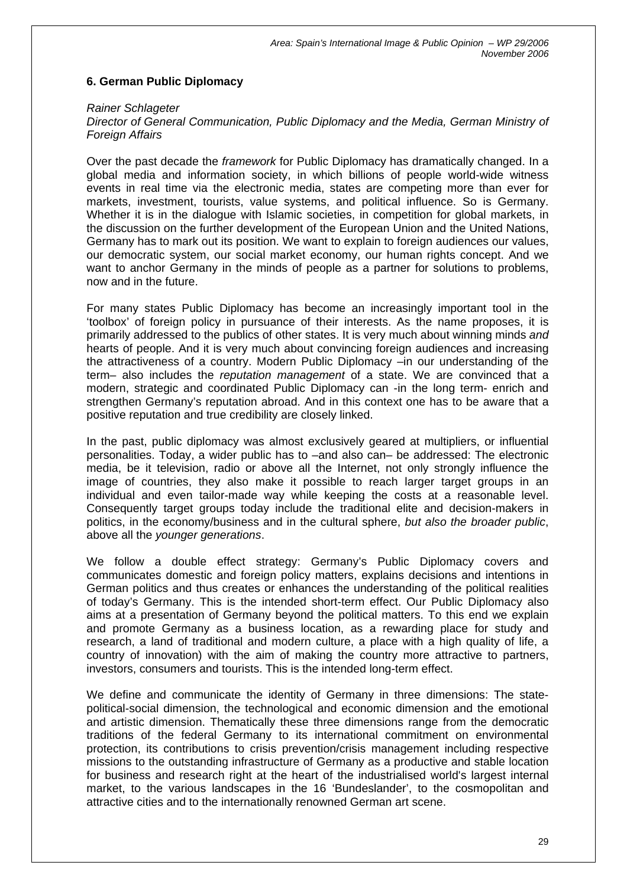## **6. German Public Diplomacy**

#### *Rainer Schlageter*

#### *Director of General Communication, Public Diplomacy and the Media, German Ministry of*  **Foreign Affairs**

Over the past decade the *framework* for Public Diplomacy has dramatically changed. In a global media and information society, in which billions of people world-wide witness events in real time via the electronic media, states are competing more than ever for markets, investment, tourists, value systems, and political influence. So is Germany. Whether it is in the dialogue with Islamic societies, in competition for global markets, in the discussion on the further development of the European Union and the United Nations, Germany has to mark out its position. We want to explain to foreign audiences our values, our democratic system, our social market economy, our human rights concept. And we want to anchor Germany in the minds of people as a partner for solutions to problems, now and in the future.

For many states Public Diplomacy has become an increasingly important tool in the 'toolbox' of foreign policy in pursuance of their interests. As the name proposes, it is primarily addressed to the publics of other states. It is very much about winning minds *and* hearts of people. And it is very much about convincing foreign audiences and increasing the attractiveness of a country. Modern Public Diplomacy –in our understanding of the term– also includes the *reputation management* of a state. We are convinced that a modern, strategic and coordinated Public Diplomacy can -in the long term- enrich and strengthen Germany's reputation abroad. And in this context one has to be aware that a positive reputation and true credibility are closely linked.

In the past, public diplomacy was almost exclusively geared at multipliers, or influential personalities. Today, a wider public has to –and also can– be addressed: The electronic media, be it television, radio or above all the Internet, not only strongly influence the image of countries, they also make it possible to reach larger target groups in an individual and even tailor-made way while keeping the costs at a reasonable level. Consequently target groups today include the traditional elite and decision-makers in politics, in the economy/business and in the cultural sphere, *but also the broader public*, above all the *younger generations*.

We follow a double effect strategy: Germany's Public Diplomacy covers and communicates domestic and foreign policy matters, explains decisions and intentions in German politics and thus creates or enhances the understanding of the political realities of today's Germany. This is the intended short-term effect. Our Public Diplomacy also aims at a presentation of Germany beyond the political matters. To this end we explain and promote Germany as a business location, as a rewarding place for study and research, a land of traditional and modern culture, a place with a high quality of life, a country of innovation) with the aim of making the country more attractive to partners, investors, consumers and tourists. This is the intended long-term effect.

We define and communicate the identity of Germany in three dimensions: The statepolitical-social dimension, the technological and economic dimension and the emotional and artistic dimension. Thematically these three dimensions range from the democratic traditions of the federal Germany to its international commitment on environmental protection, its contributions to crisis prevention/crisis management including respective missions to the outstanding infrastructure of Germany as a productive and stable location for business and research right at the heart of the industrialised world's largest internal market, to the various landscapes in the 16 'Bundeslander', to the cosmopolitan and attractive cities and to the internationally renowned German art scene.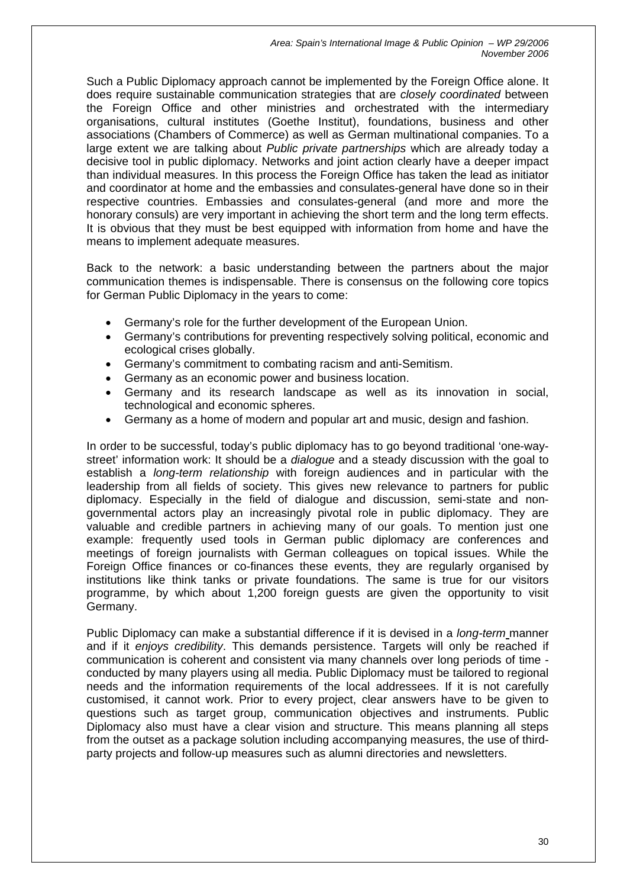Such a Public Diplomacy approach cannot be implemented by the Foreign Office alone. It does require sustainable communication strategies that are *closely coordinated* between the Foreign Office and other ministries and orchestrated with the intermediary organisations, cultural institutes (Goethe Institut), foundations, business and other associations (Chambers of Commerce) as well as German multinational companies. To a large extent we are talking about *Public private partnerships* which are already today a decisive tool in public diplomacy. Networks and joint action clearly have a deeper impact than individual measures. In this process the Foreign Office has taken the lead as initiator and coordinator at home and the embassies and consulates-general have done so in their respective countries. Embassies and consulates-general (and more and more the honorary consuls) are very important in achieving the short term and the long term effects. It is obvious that they must be best equipped with information from home and have the means to implement adequate measures.

Back to the network: a basic understanding between the partners about the major communication themes is indispensable. There is consensus on the following core topics for German Public Diplomacy in the years to come:

- Germany's role for the further development of the European Union.
- Germany's contributions for preventing respectively solving political, economic and ecological crises globally.
- Germany's commitment to combating racism and anti-Semitism.
- Germany as an economic power and business location.
- Germany and its research landscape as well as its innovation in social, technological and economic spheres.
- Germany as a home of modern and popular art and music, design and fashion.

In order to be successful, today's public diplomacy has to go beyond traditional 'one-waystreet' information work: It should be a *dialogue* and a steady discussion with the goal to establish a *long-term relationship* with foreign audiences and in particular with the leadership from all fields of society. This gives new relevance to partners for public diplomacy. Especially in the field of dialogue and discussion, semi-state and nongovernmental actors play an increasingly pivotal role in public diplomacy. They are valuable and credible partners in achieving many of our goals. To mention just one example: frequently used tools in German public diplomacy are conferences and meetings of foreign journalists with German colleagues on topical issues. While the Foreign Office finances or co-finances these events, they are regularly organised by institutions like think tanks or private foundations. The same is true for our visitors programme, by which about 1,200 foreign guests are given the opportunity to visit Germany.

Public Diplomacy can make a substantial difference if it is devised in a *long-term* manner and if it *enjoys credibility*. This demands persistence. Targets will only be reached if communication is coherent and consistent via many channels over long periods of time conducted by many players using all media. Public Diplomacy must be tailored to regional needs and the information requirements of the local addressees. If it is not carefully customised, it cannot work. Prior to every project, clear answers have to be given to questions such as target group, communication objectives and instruments. Public Diplomacy also must have a clear vision and structure. This means planning all steps from the outset as a package solution including accompanying measures, the use of thirdparty projects and follow-up measures such as alumni directories and newsletters.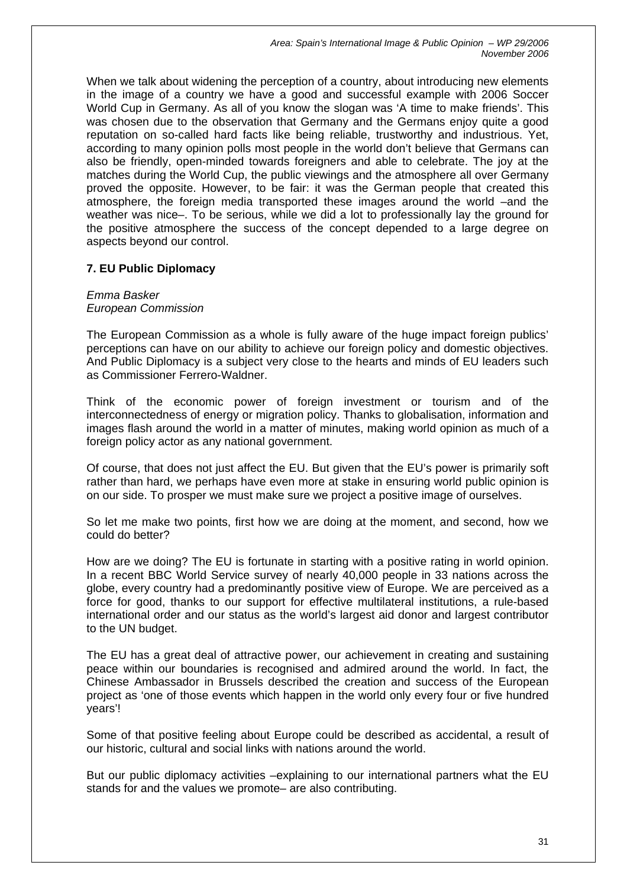When we talk about widening the perception of a country, about introducing new elements in the image of a country we have a good and successful example with 2006 Soccer World Cup in Germany. As all of you know the slogan was 'A time to make friends'. This was chosen due to the observation that Germany and the Germans enjoy quite a good reputation on so-called hard facts like being reliable, trustworthy and industrious. Yet, according to many opinion polls most people in the world don't believe that Germans can also be friendly, open-minded towards foreigners and able to celebrate. The joy at the matches during the World Cup, the public viewings and the atmosphere all over Germany proved the opposite. However, to be fair: it was the German people that created this atmosphere, the foreign media transported these images around the world –and the weather was nice–. To be serious, while we did a lot to professionally lay the ground for the positive atmosphere the success of the concept depended to a large degree on aspects beyond our control.

## **7. EU Public Diplomacy**

*Emma Basker European Commission* 

The European Commission as a whole is fully aware of the huge impact foreign publics' perceptions can have on our ability to achieve our foreign policy and domestic objectives. And Public Diplomacy is a subject very close to the hearts and minds of EU leaders such as Commissioner Ferrero-Waldner.

Think of the economic power of foreign investment or tourism and of the interconnectedness of energy or migration policy. Thanks to globalisation, information and images flash around the world in a matter of minutes, making world opinion as much of a foreign policy actor as any national government.

Of course, that does not just affect the EU. But given that the EU's power is primarily soft rather than hard, we perhaps have even more at stake in ensuring world public opinion is on our side. To prosper we must make sure we project a positive image of ourselves.

So let me make two points, first how we are doing at the moment, and second, how we could do better?

How are we doing? The EU is fortunate in starting with a positive rating in world opinion. In a recent BBC World Service survey of nearly 40,000 people in 33 nations across the globe, every country had a predominantly positive view of Europe. We are perceived as a force for good, thanks to our support for effective multilateral institutions, a rule-based international order and our status as the world's largest aid donor and largest contributor to the UN budget.

The EU has a great deal of attractive power, our achievement in creating and sustaining peace within our boundaries is recognised and admired around the world. In fact, the Chinese Ambassador in Brussels described the creation and success of the European project as 'one of those events which happen in the world only every four or five hundred years'!

Some of that positive feeling about Europe could be described as accidental, a result of our historic, cultural and social links with nations around the world.

But our public diplomacy activities –explaining to our international partners what the EU stands for and the values we promote– are also contributing.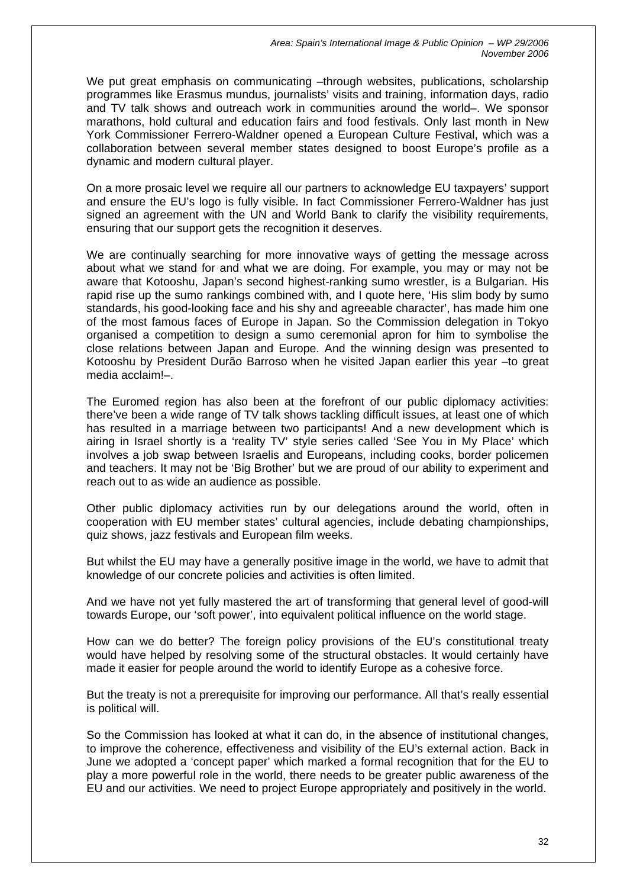We put great emphasis on communicating -through websites, publications, scholarship programmes like Erasmus mundus, journalists' visits and training, information days, radio and TV talk shows and outreach work in communities around the world–. We sponsor marathons, hold cultural and education fairs and food festivals. Only last month in New York Commissioner Ferrero-Waldner opened a European Culture Festival, which was a collaboration between several member states designed to boost Europe's profile as a dynamic and modern cultural player.

On a more prosaic level we require all our partners to acknowledge EU taxpayers' support and ensure the EU's logo is fully visible. In fact Commissioner Ferrero-Waldner has just signed an agreement with the UN and World Bank to clarify the visibility requirements, ensuring that our support gets the recognition it deserves.

We are continually searching for more innovative ways of getting the message across about what we stand for and what we are doing. For example, you may or may not be aware that Kotooshu, Japan's second highest-ranking sumo wrestler, is a Bulgarian. His rapid rise up the sumo rankings combined with, and I quote here, 'His slim body by sumo standards, his good-looking face and his shy and agreeable character', has made him one of the most famous faces of Europe in Japan. So the Commission delegation in Tokyo organised a competition to design a sumo ceremonial apron for him to symbolise the close relations between Japan and Europe. And the winning design was presented to Kotooshu by President Durão Barroso when he visited Japan earlier this year –to great media acclaim!–.

The Euromed region has also been at the forefront of our public diplomacy activities: there've been a wide range of TV talk shows tackling difficult issues, at least one of which has resulted in a marriage between two participants! And a new development which is airing in Israel shortly is a 'reality TV' style series called 'See You in My Place' which involves a job swap between Israelis and Europeans, including cooks, border policemen and teachers. It may not be 'Big Brother' but we are proud of our ability to experiment and reach out to as wide an audience as possible.

Other public diplomacy activities run by our delegations around the world, often in cooperation with EU member states' cultural agencies, include debating championships, quiz shows, jazz festivals and European film weeks.

But whilst the EU may have a generally positive image in the world, we have to admit that knowledge of our concrete policies and activities is often limited.

And we have not yet fully mastered the art of transforming that general level of good-will towards Europe, our 'soft power', into equivalent political influence on the world stage.

How can we do better? The foreign policy provisions of the EU's constitutional treaty would have helped by resolving some of the structural obstacles. It would certainly have made it easier for people around the world to identify Europe as a cohesive force.

But the treaty is not a prerequisite for improving our performance. All that's really essential is political will.

So the Commission has looked at what it can do, in the absence of institutional changes, to improve the coherence, effectiveness and visibility of the EU's external action. Back in June we adopted a 'concept paper' which marked a formal recognition that for the EU to play a more powerful role in the world, there needs to be greater public awareness of the EU and our activities. We need to project Europe appropriately and positively in the world.